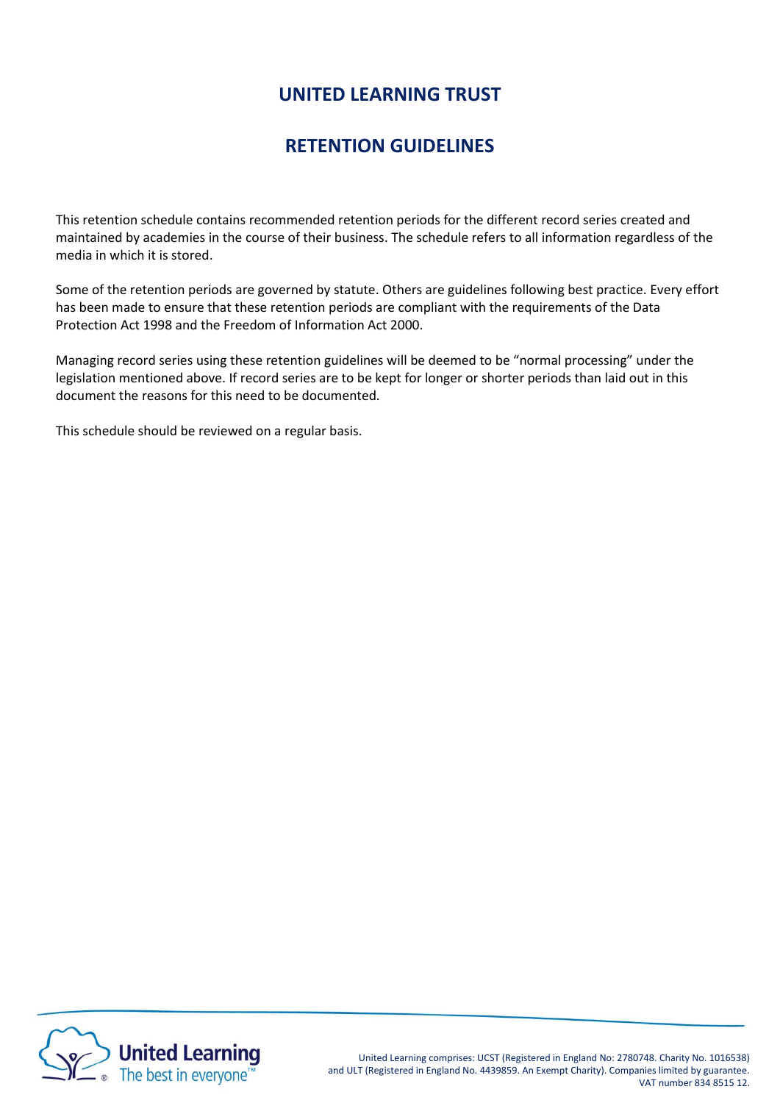# **UNITED LEARNING TRUST**

## **RETENTION GUIDELINES**

This retention schedule contains recommended retention periods for the different record series created and maintained by academies in the course of their business. The schedule refers to all information regardless of the media in which it is stored.

Some of the retention periods are governed by statute. Others are guidelines following best practice. Every effort has been made to ensure that these retention periods are compliant with the requirements of the Data Protection Act 1998 and the Freedom of Information Act 2000.

Managing record series using these retention guidelines will be deemed to be "normal processing" under the legislation mentioned above. If record series are to be kept for longer or shorter periods than laid out in this document the reasons for this need to be documented.

This schedule should be reviewed on a regular basis.

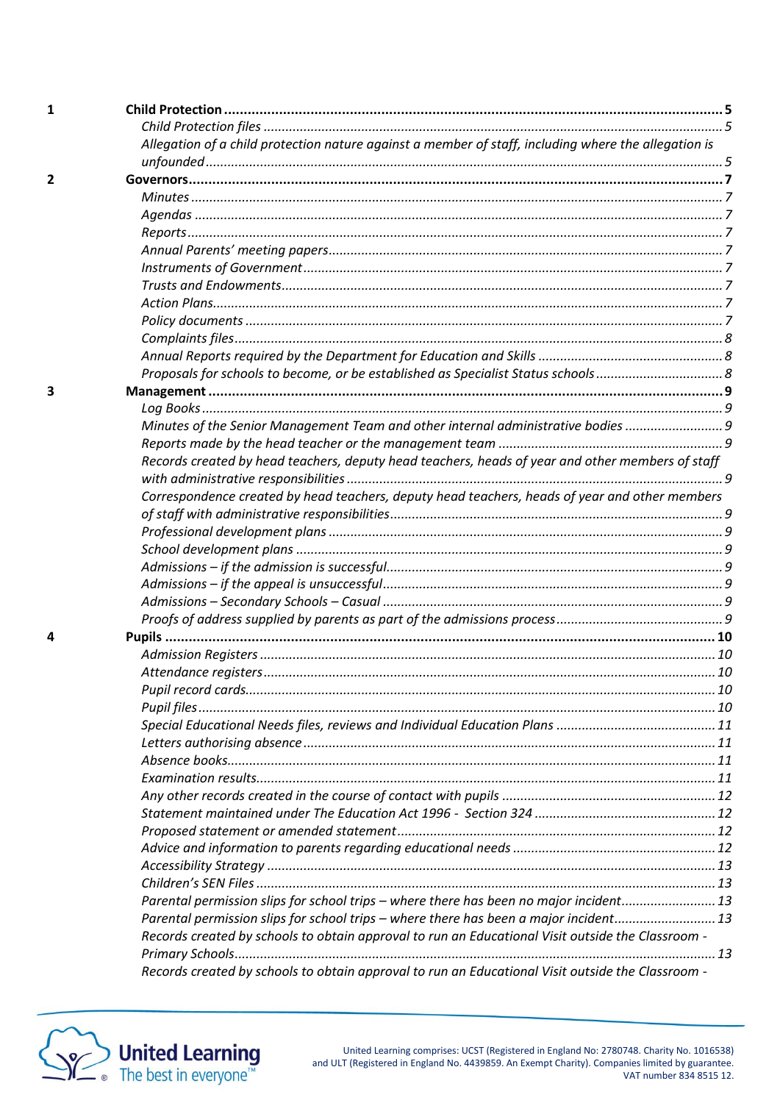| 1 |                                                                                                      |  |
|---|------------------------------------------------------------------------------------------------------|--|
|   |                                                                                                      |  |
|   | Allegation of a child protection nature against a member of staff, including where the allegation is |  |
|   |                                                                                                      |  |
| 2 |                                                                                                      |  |
|   |                                                                                                      |  |
|   |                                                                                                      |  |
|   |                                                                                                      |  |
|   |                                                                                                      |  |
|   |                                                                                                      |  |
|   |                                                                                                      |  |
|   |                                                                                                      |  |
|   |                                                                                                      |  |
|   |                                                                                                      |  |
|   |                                                                                                      |  |
|   |                                                                                                      |  |
| 3 |                                                                                                      |  |
|   |                                                                                                      |  |
|   | Minutes of the Senior Management Team and other internal administrative bodies 9                     |  |
|   |                                                                                                      |  |
|   | Records created by head teachers, deputy head teachers, heads of year and other members of staff     |  |
|   |                                                                                                      |  |
|   | Correspondence created by head teachers, deputy head teachers, heads of year and other members       |  |
|   |                                                                                                      |  |
|   |                                                                                                      |  |
|   |                                                                                                      |  |
|   |                                                                                                      |  |
|   |                                                                                                      |  |
|   |                                                                                                      |  |
|   |                                                                                                      |  |
| 4 |                                                                                                      |  |
|   |                                                                                                      |  |
|   |                                                                                                      |  |
|   |                                                                                                      |  |
|   |                                                                                                      |  |
|   |                                                                                                      |  |
|   |                                                                                                      |  |
|   |                                                                                                      |  |
|   |                                                                                                      |  |
|   |                                                                                                      |  |
|   |                                                                                                      |  |
|   |                                                                                                      |  |
|   |                                                                                                      |  |
|   |                                                                                                      |  |
|   |                                                                                                      |  |
|   |                                                                                                      |  |
|   | Parental permission slips for school trips - where there has been no major incident 13               |  |
|   | Parental permission slips for school trips - where there has been a major incident 13                |  |
|   | Records created by schools to obtain approval to run an Educational Visit outside the Classroom -    |  |
|   |                                                                                                      |  |
|   | Records created by schools to obtain approval to run an Educational Visit outside the Classroom -    |  |

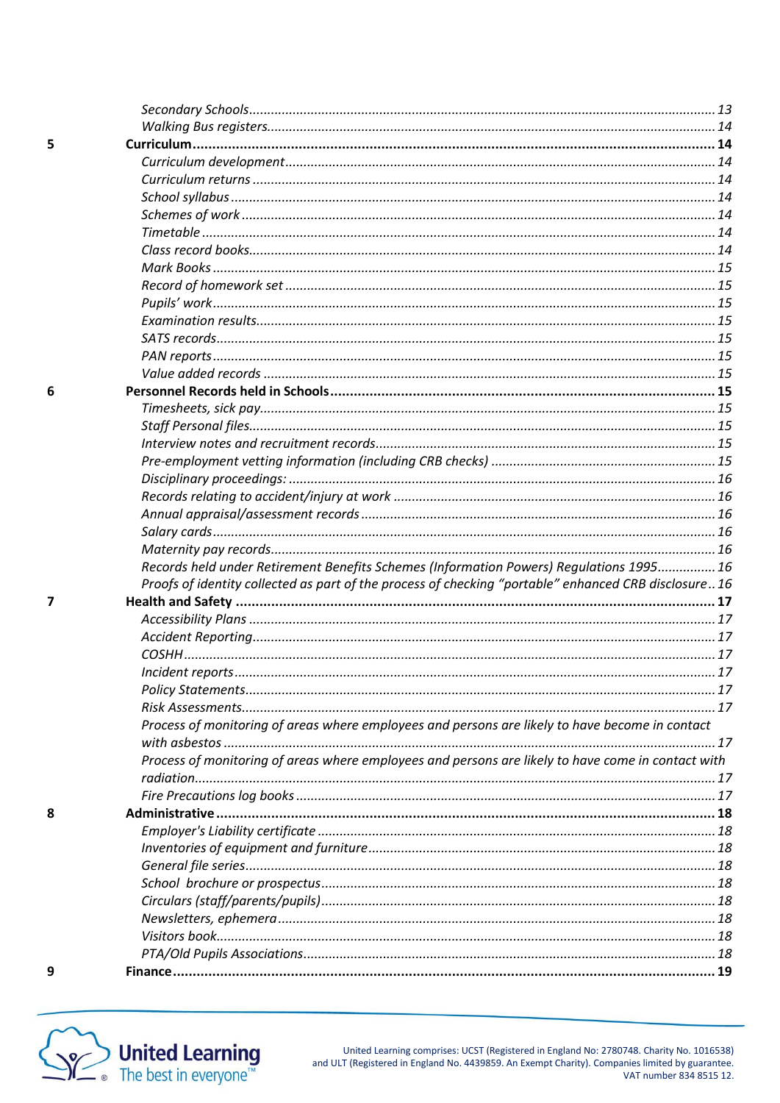| Records held under Retirement Benefits Schemes (Information Powers) Regulations 1995 16              |
|------------------------------------------------------------------------------------------------------|
| Proofs of identity collected as part of the process of checking "portable" enhanced CRB disclosure16 |
|                                                                                                      |
|                                                                                                      |
|                                                                                                      |
|                                                                                                      |
|                                                                                                      |
|                                                                                                      |
|                                                                                                      |
| Process of monitoring of areas where employees and persons are likely to have become in contact      |
|                                                                                                      |
| Process of monitoring of areas where employees and persons are likely to have come in contact with   |
|                                                                                                      |
|                                                                                                      |
|                                                                                                      |
|                                                                                                      |
|                                                                                                      |
|                                                                                                      |
|                                                                                                      |
|                                                                                                      |
|                                                                                                      |
|                                                                                                      |
|                                                                                                      |



United Learning comprises: UCST (Registered in England No: 2780748. Charity No. 1016538)<br>.and ULT (Registered in England No. 4439859. An Exempt Charity). Companies limited by guarantee.<br>.VAT number 834 8515 12.

 $\overline{\mathbf{z}}$ 

8

 $\overline{9}$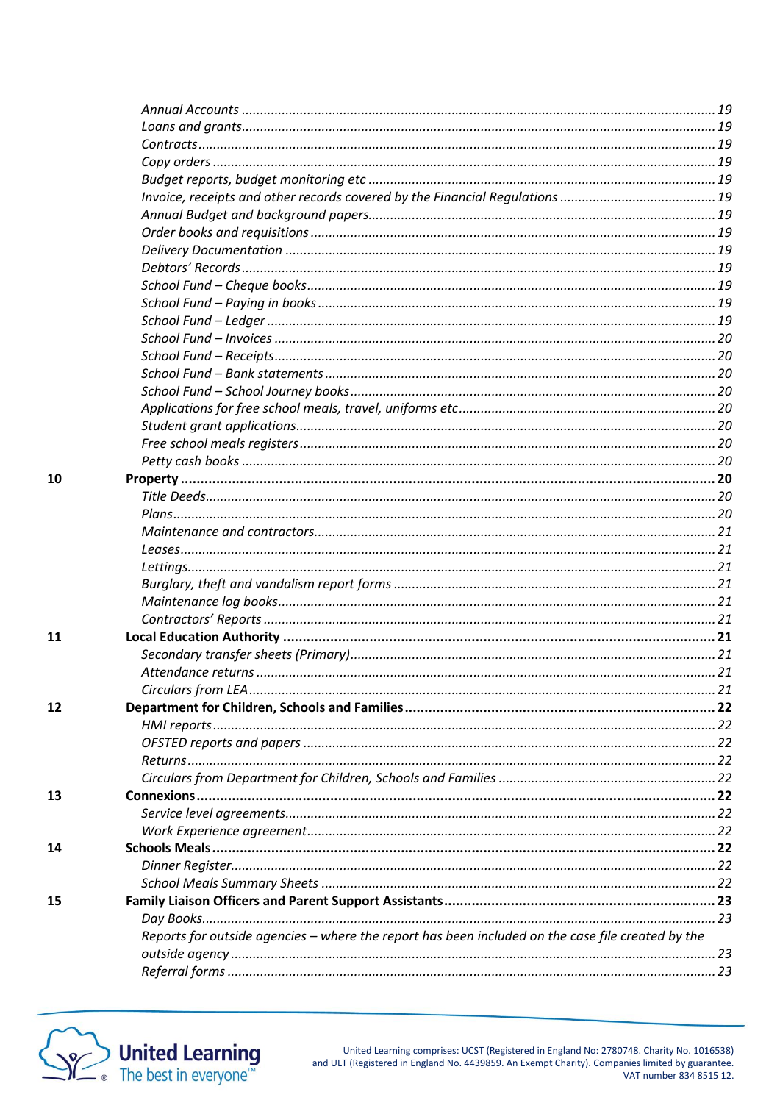| 10 |                                                                                                   |  |
|----|---------------------------------------------------------------------------------------------------|--|
|    |                                                                                                   |  |
|    |                                                                                                   |  |
|    |                                                                                                   |  |
|    |                                                                                                   |  |
|    |                                                                                                   |  |
|    |                                                                                                   |  |
|    |                                                                                                   |  |
|    |                                                                                                   |  |
| 11 |                                                                                                   |  |
|    |                                                                                                   |  |
|    |                                                                                                   |  |
|    |                                                                                                   |  |
| 12 |                                                                                                   |  |
|    |                                                                                                   |  |
|    |                                                                                                   |  |
|    |                                                                                                   |  |
|    |                                                                                                   |  |
| 13 |                                                                                                   |  |
|    |                                                                                                   |  |
|    |                                                                                                   |  |
| 14 |                                                                                                   |  |
|    |                                                                                                   |  |
|    |                                                                                                   |  |
| 15 |                                                                                                   |  |
|    |                                                                                                   |  |
|    | Reports for outside agencies - where the report has been included on the case file created by the |  |
|    |                                                                                                   |  |
|    |                                                                                                   |  |



United Learning comprises: UCST (Registered in England No: 2780748. Charity No. 1016538) and ULT (Registered in England No. 4439859. An Exempt Charity). Companies limited by guarantee.<br>VAT number 834 8515 12.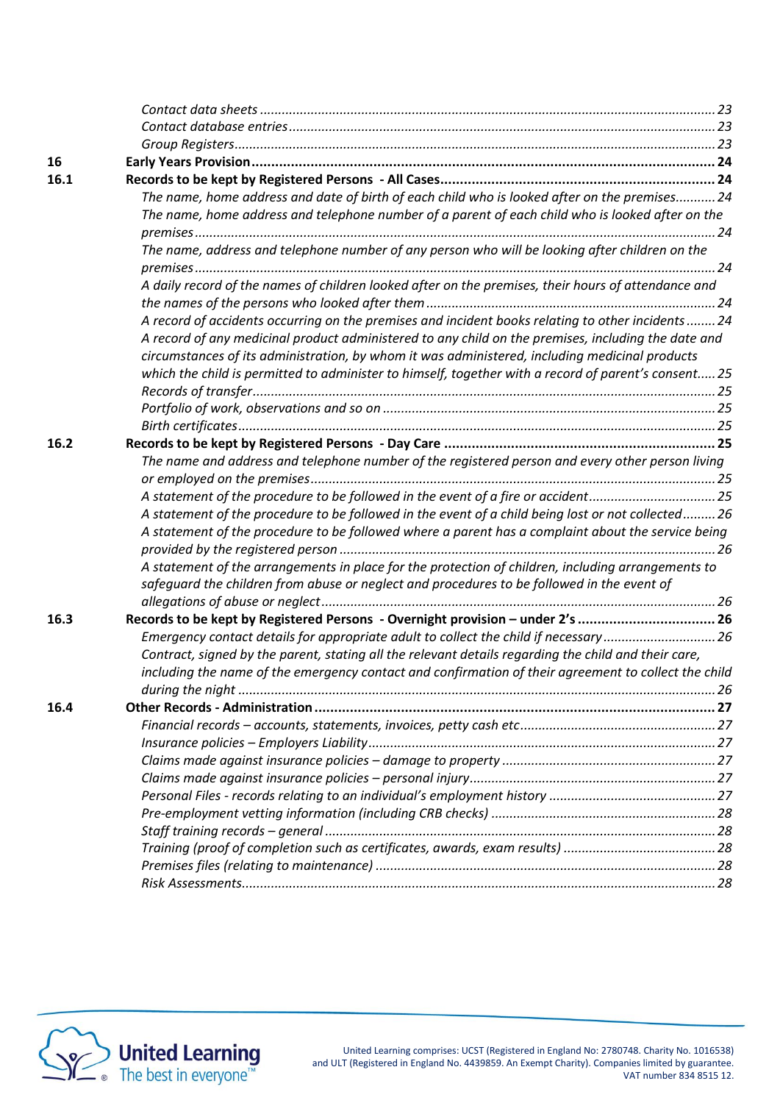| 16   |                                                                                                      |  |
|------|------------------------------------------------------------------------------------------------------|--|
| 16.1 |                                                                                                      |  |
|      | The name, home address and date of birth of each child who is looked after on the premises 24        |  |
|      | The name, home address and telephone number of a parent of each child who is looked after on the     |  |
|      |                                                                                                      |  |
|      | The name, address and telephone number of any person who will be looking after children on the       |  |
|      |                                                                                                      |  |
|      | A daily record of the names of children looked after on the premises, their hours of attendance and  |  |
|      |                                                                                                      |  |
|      | A record of accidents occurring on the premises and incident books relating to other incidents  24   |  |
|      | A record of any medicinal product administered to any child on the premises, including the date and  |  |
|      | circumstances of its administration, by whom it was administered, including medicinal products       |  |
|      | which the child is permitted to administer to himself, together with a record of parent's consent 25 |  |
|      |                                                                                                      |  |
|      |                                                                                                      |  |
| 16.2 |                                                                                                      |  |
|      | The name and address and telephone number of the registered person and every other person living     |  |
|      |                                                                                                      |  |
|      | A statement of the procedure to be followed in the event of a fire or accident25                     |  |
|      | A statement of the procedure to be followed in the event of a child being lost or not collected26    |  |
|      | A statement of the procedure to be followed where a parent has a complaint about the service being   |  |
|      |                                                                                                      |  |
|      | A statement of the arrangements in place for the protection of children, including arrangements to   |  |
|      | safeguard the children from abuse or neglect and procedures to be followed in the event of           |  |
|      |                                                                                                      |  |
| 16.3 | Records to be kept by Registered Persons - Overnight provision - under 2's  26                       |  |
|      | Emergency contact details for appropriate adult to collect the child if necessary26                  |  |
|      | Contract, signed by the parent, stating all the relevant details regarding the child and their care, |  |
|      | including the name of the emergency contact and confirmation of their agreement to collect the child |  |
|      |                                                                                                      |  |
| 16.4 |                                                                                                      |  |
|      |                                                                                                      |  |
|      |                                                                                                      |  |
|      |                                                                                                      |  |
|      |                                                                                                      |  |
|      |                                                                                                      |  |
|      |                                                                                                      |  |
|      |                                                                                                      |  |
|      |                                                                                                      |  |
|      |                                                                                                      |  |
|      |                                                                                                      |  |

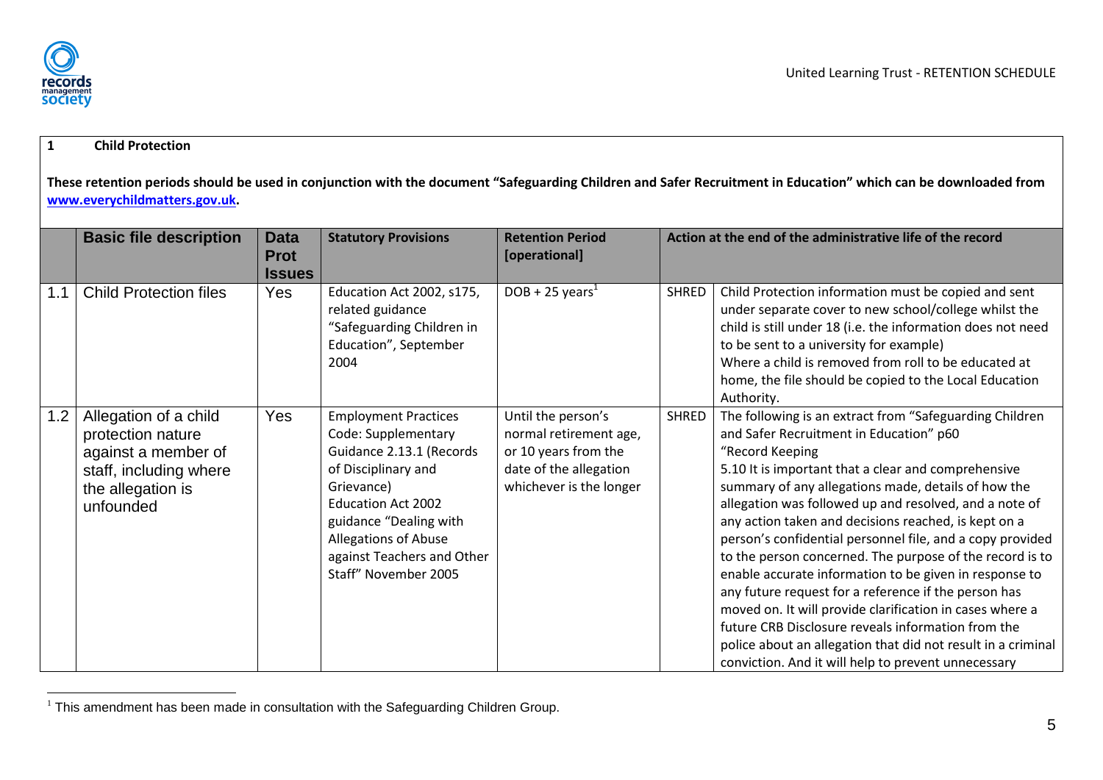### **1 Child Protection**

**These retention periods should be used in conjunction with the document "Safeguarding Children and Safer Recruitment in Education" which can be downloaded from [www.everychildmatters.gov.uk.](http://www.everychildmatters.gov.uk/)**

|     | <b>Basic file description</b>                                                                                                 | <b>Data</b><br><b>Prot</b> | <b>Statutory Provisions</b>                                                                                                                                                                                                                              | <b>Retention Period</b><br>[operational]                                                                                  |              | Action at the end of the administrative life of the record                                                                                                                                                                                                                                                                                                                                                                                                                                                                                                                                                                                                                                                                                                                                                                                |
|-----|-------------------------------------------------------------------------------------------------------------------------------|----------------------------|----------------------------------------------------------------------------------------------------------------------------------------------------------------------------------------------------------------------------------------------------------|---------------------------------------------------------------------------------------------------------------------------|--------------|-------------------------------------------------------------------------------------------------------------------------------------------------------------------------------------------------------------------------------------------------------------------------------------------------------------------------------------------------------------------------------------------------------------------------------------------------------------------------------------------------------------------------------------------------------------------------------------------------------------------------------------------------------------------------------------------------------------------------------------------------------------------------------------------------------------------------------------------|
| 1.1 | <b>Child Protection files</b>                                                                                                 | <b>Issues</b><br>Yes       | Education Act 2002, s175,<br>related guidance<br>"Safeguarding Children in<br>Education", September<br>2004                                                                                                                                              | $DOB + 25 \text{ years}^1$                                                                                                | <b>SHRED</b> | Child Protection information must be copied and sent<br>under separate cover to new school/college whilst the<br>child is still under 18 (i.e. the information does not need<br>to be sent to a university for example)<br>Where a child is removed from roll to be educated at<br>home, the file should be copied to the Local Education<br>Authority.                                                                                                                                                                                                                                                                                                                                                                                                                                                                                   |
| 1.2 | Allegation of a child<br>protection nature<br>against a member of<br>staff, including where<br>the allegation is<br>unfounded | Yes                        | <b>Employment Practices</b><br>Code: Supplementary<br>Guidance 2.13.1 (Records<br>of Disciplinary and<br>Grievance)<br><b>Education Act 2002</b><br>guidance "Dealing with<br>Allegations of Abuse<br>against Teachers and Other<br>Staff" November 2005 | Until the person's<br>normal retirement age,<br>or 10 years from the<br>date of the allegation<br>whichever is the longer | <b>SHRED</b> | The following is an extract from "Safeguarding Children<br>and Safer Recruitment in Education" p60<br>"Record Keeping<br>5.10 It is important that a clear and comprehensive<br>summary of any allegations made, details of how the<br>allegation was followed up and resolved, and a note of<br>any action taken and decisions reached, is kept on a<br>person's confidential personnel file, and a copy provided<br>to the person concerned. The purpose of the record is to<br>enable accurate information to be given in response to<br>any future request for a reference if the person has<br>moved on. It will provide clarification in cases where a<br>future CRB Disclosure reveals information from the<br>police about an allegation that did not result in a criminal<br>conviction. And it will help to prevent unnecessary |

<span id="page-5-2"></span><span id="page-5-1"></span><span id="page-5-0"></span> $\overline{a}$  $1$  This amendment has been made in consultation with the Safeguarding Children Group.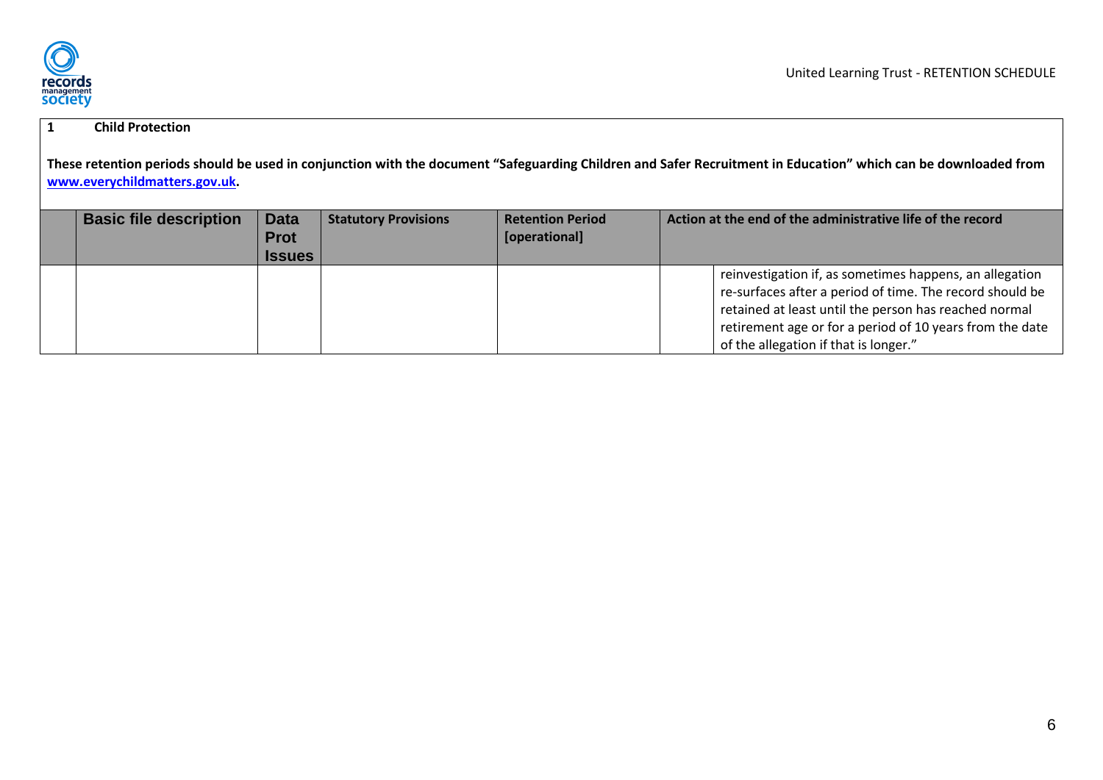

## **1 Child Protection**

**These retention periods should be used in conjunction with the document "Safeguarding Children and Safer Recruitment in Education" which can be downloaded from [www.everychildmatters.gov.uk.](http://www.everychildmatters.gov.uk/)**

| <b>Basic file description</b> | <b>Data</b><br><b>Prot</b><br><b>Issues</b> | <b>Statutory Provisions</b> | <b>Retention Period</b><br>[operational] | Action at the end of the administrative life of the record |                                                                                                                                                                                                                                                                                   |
|-------------------------------|---------------------------------------------|-----------------------------|------------------------------------------|------------------------------------------------------------|-----------------------------------------------------------------------------------------------------------------------------------------------------------------------------------------------------------------------------------------------------------------------------------|
|                               |                                             |                             |                                          |                                                            | reinvestigation if, as sometimes happens, an allegation<br>re-surfaces after a period of time. The record should be<br>retained at least until the person has reached normal<br>retirement age or for a period of 10 years from the date<br>of the allegation if that is longer." |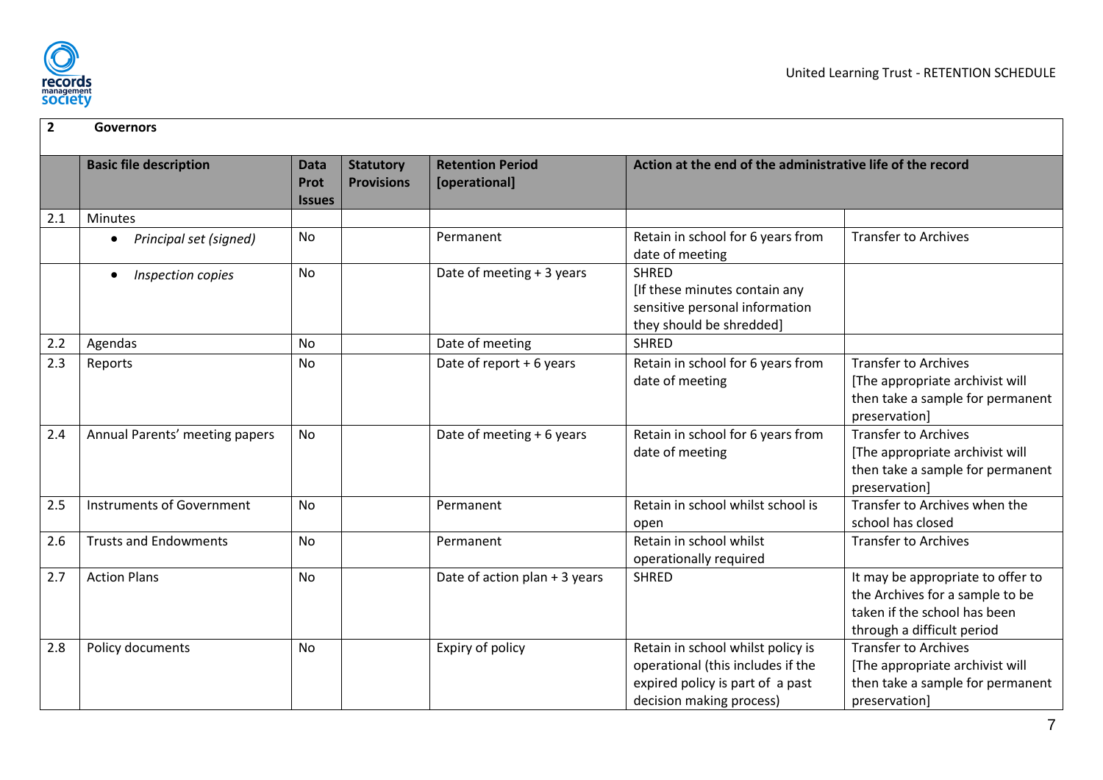

<span id="page-7-8"></span><span id="page-7-7"></span><span id="page-7-6"></span><span id="page-7-5"></span><span id="page-7-4"></span><span id="page-7-3"></span><span id="page-7-2"></span><span id="page-7-1"></span><span id="page-7-0"></span>

| $\overline{2}$ | <b>Governors</b>                 |                                      |                                       |                                          |                                                                                                                                        |                                                                                                                                    |
|----------------|----------------------------------|--------------------------------------|---------------------------------------|------------------------------------------|----------------------------------------------------------------------------------------------------------------------------------------|------------------------------------------------------------------------------------------------------------------------------------|
|                | <b>Basic file description</b>    | <b>Data</b><br>Prot<br><b>Issues</b> | <b>Statutory</b><br><b>Provisions</b> | <b>Retention Period</b><br>[operational] | Action at the end of the administrative life of the record                                                                             |                                                                                                                                    |
| 2.1            | <b>Minutes</b>                   |                                      |                                       |                                          |                                                                                                                                        |                                                                                                                                    |
|                | Principal set (signed)           | No                                   |                                       | Permanent                                | Retain in school for 6 years from<br>date of meeting                                                                                   | <b>Transfer to Archives</b>                                                                                                        |
|                | Inspection copies                | No                                   |                                       | Date of meeting $+3$ years               | <b>SHRED</b><br>[If these minutes contain any<br>sensitive personal information<br>they should be shredded]                            |                                                                                                                                    |
| 2.2            | Agendas                          | <b>No</b>                            |                                       | Date of meeting                          | <b>SHRED</b>                                                                                                                           |                                                                                                                                    |
| 2.3            | Reports                          | No                                   |                                       | Date of report $+6$ years                | Retain in school for 6 years from<br>date of meeting                                                                                   | <b>Transfer to Archives</b><br>[The appropriate archivist will<br>then take a sample for permanent<br>preservation]                |
| 2.4            | Annual Parents' meeting papers   | <b>No</b>                            |                                       | Date of meeting + 6 years                | Retain in school for 6 years from<br>date of meeting                                                                                   | <b>Transfer to Archives</b><br>[The appropriate archivist will<br>then take a sample for permanent<br>preservation]                |
| 2.5            | <b>Instruments of Government</b> | <b>No</b>                            |                                       | Permanent                                | Retain in school whilst school is<br>open                                                                                              | Transfer to Archives when the<br>school has closed                                                                                 |
| 2.6            | <b>Trusts and Endowments</b>     | No                                   |                                       | Permanent                                | Retain in school whilst<br>operationally required                                                                                      | <b>Transfer to Archives</b>                                                                                                        |
| 2.7            | <b>Action Plans</b>              | <b>No</b>                            |                                       | Date of action plan + 3 years            | <b>SHRED</b>                                                                                                                           | It may be appropriate to offer to<br>the Archives for a sample to be<br>taken if the school has been<br>through a difficult period |
| 2.8            | Policy documents                 | <b>No</b>                            |                                       | Expiry of policy                         | Retain in school whilst policy is<br>operational (this includes if the<br>expired policy is part of a past<br>decision making process) | <b>Transfer to Archives</b><br>[The appropriate archivist will<br>then take a sample for permanent<br>preservation]                |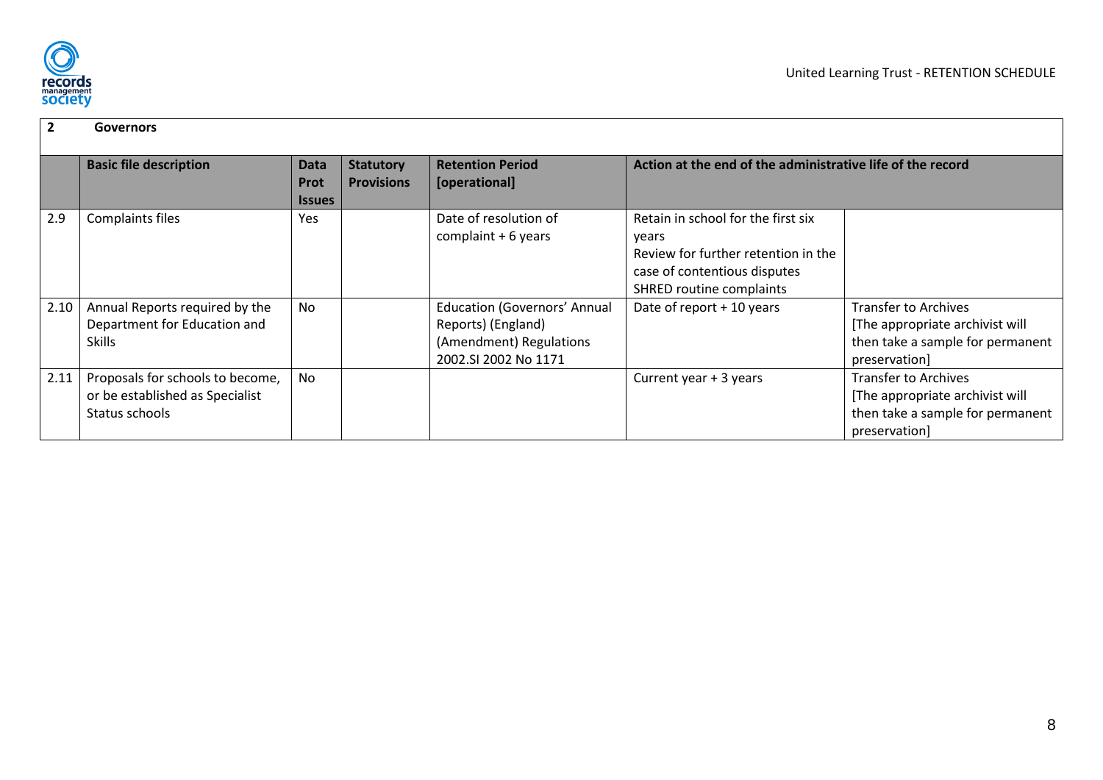

<span id="page-8-2"></span><span id="page-8-1"></span><span id="page-8-0"></span>

| $\overline{2}$ | <b>Governors</b>                                                                      |                                             |                                       |                                                                                                              |                                                                                                                                                       |                                                                                                                     |
|----------------|---------------------------------------------------------------------------------------|---------------------------------------------|---------------------------------------|--------------------------------------------------------------------------------------------------------------|-------------------------------------------------------------------------------------------------------------------------------------------------------|---------------------------------------------------------------------------------------------------------------------|
|                | <b>Basic file description</b>                                                         | <b>Data</b><br><b>Prot</b><br><b>Issues</b> | <b>Statutory</b><br><b>Provisions</b> | <b>Retention Period</b><br>[operational]                                                                     | Action at the end of the administrative life of the record                                                                                            |                                                                                                                     |
| 2.9            | Complaints files                                                                      | Yes                                         |                                       | Date of resolution of<br>complaint $+6$ years                                                                | Retain in school for the first six<br>years<br>Review for further retention in the<br>case of contentious disputes<br><b>SHRED routine complaints</b> |                                                                                                                     |
| 2.10           | Annual Reports required by the<br>Department for Education and<br><b>Skills</b>       | No                                          |                                       | <b>Education (Governors' Annual</b><br>Reports) (England)<br>(Amendment) Regulations<br>2002.SI 2002 No 1171 | Date of report $+10$ years                                                                                                                            | <b>Transfer to Archives</b><br>[The appropriate archivist will<br>then take a sample for permanent<br>preservation] |
| 2.11           | Proposals for schools to become,<br>or be established as Specialist<br>Status schools | No                                          |                                       |                                                                                                              | Current year + 3 years                                                                                                                                | <b>Transfer to Archives</b><br>[The appropriate archivist will<br>then take a sample for permanent<br>preservation] |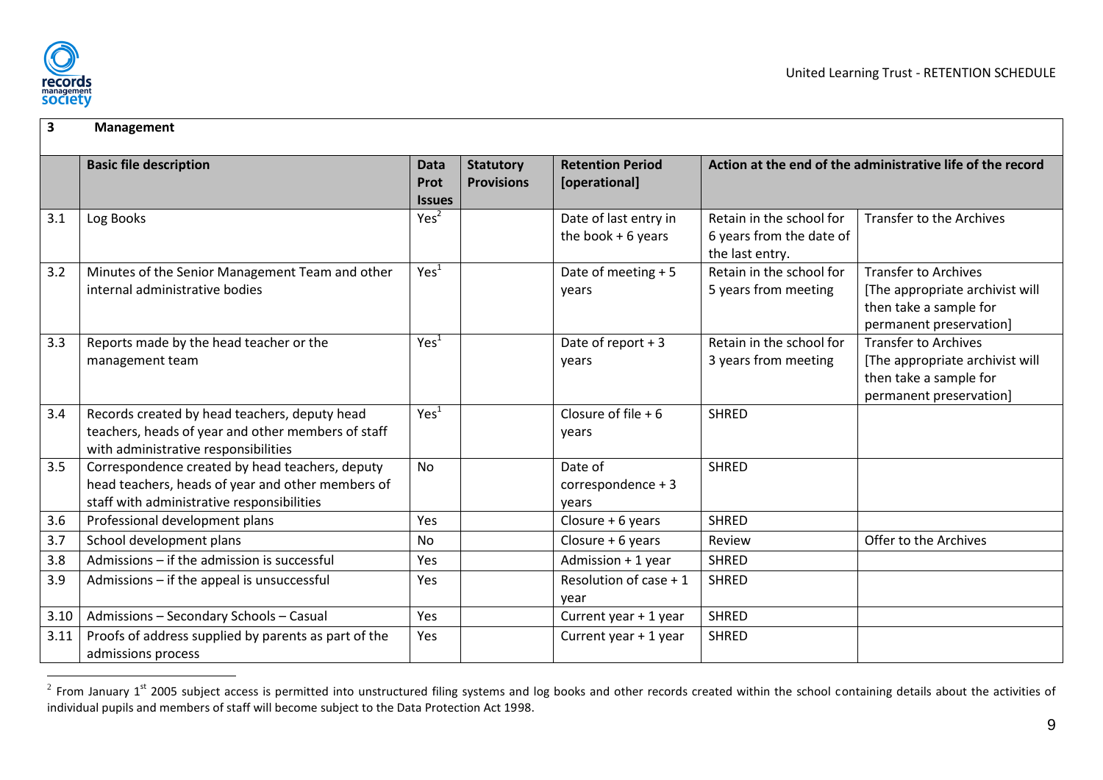

<span id="page-9-3"></span><span id="page-9-2"></span><span id="page-9-1"></span><span id="page-9-0"></span> $\overline{a}$ 

#### **3 Management Basic file description Data Data Data Data Prot Issues Statutory Provisions Retention Period [operational] Action at the end of the administrative life of the record** 3.1 Log Books Service Control of Log Books (Service Control of Log 2  $\vert$  Ves<sup>2</sup> Date of last entry in the book + 6 years Retain in the school for 6 years from the date of the last entry. Transfer to the Archives 3.2 Minutes of the Senior Management Team and other internal administrative bodies  $Yes<sup>1</sup>$  Date of meeting + 5 years Retain in the school for 5 years from meeting Transfer to Archives [The appropriate archivist will then take a sample for permanent preservation] 3.3 Reports made by the head teacher or the management team  $Yes<sup>1</sup>$  | Date of report + 3 years Retain in the school for 3 years from meeting Transfer to Archives [The appropriate archivist will then take a sample for permanent preservation] 3.4 Records created by head teachers, deputy head teachers, heads of year and other members of staff with administrative responsibilities  $Yer<sup>1</sup>$ Closure of file + 6 years **SHRED** 3.5 Correspondence created by head teachers, deputy head teachers, heads of year and other members of staff with administrative responsibilities No Date of correspondence + 3 years **SHRFD** 3.6 Professional development plans Network Network Yes Network Closure + 6 years SHRED 3.7 School development plans No  $\vert$  No  $\vert$  Closure + 6 years Review  $\vert$  Offer to the Archives 3.8 Admissions – if the admission is successful Yes | Admission + 1 year SHRED 3.9  $\vert$  Admissions – if the appeal is unsuccessful  $\vert$  Yes  $\vert$  Yes  $\vert$  Resolution of case + 1 year SHRED  $3.10$  | Admissions – Secondary Schools – Casual  $\vert$  Yes  $\vert$   $\vert$  Current year + 1 year  $\vert$  SHRED 3.11 Proofs of address supplied by parents as part of the admissions process  $Yes$   $|$  Current year + 1 year  $\vert$  SHRED

<span id="page-9-11"></span><span id="page-9-10"></span><span id="page-9-9"></span><span id="page-9-8"></span><span id="page-9-7"></span><span id="page-9-6"></span><span id="page-9-5"></span><span id="page-9-4"></span> $^2$  From January 1<sup>st</sup> 2005 subject access is permitted into unstructured filing systems and log books and other records created within the school containing details about the activities of individual pupils and members of staff will become subject to the Data Protection Act 1998.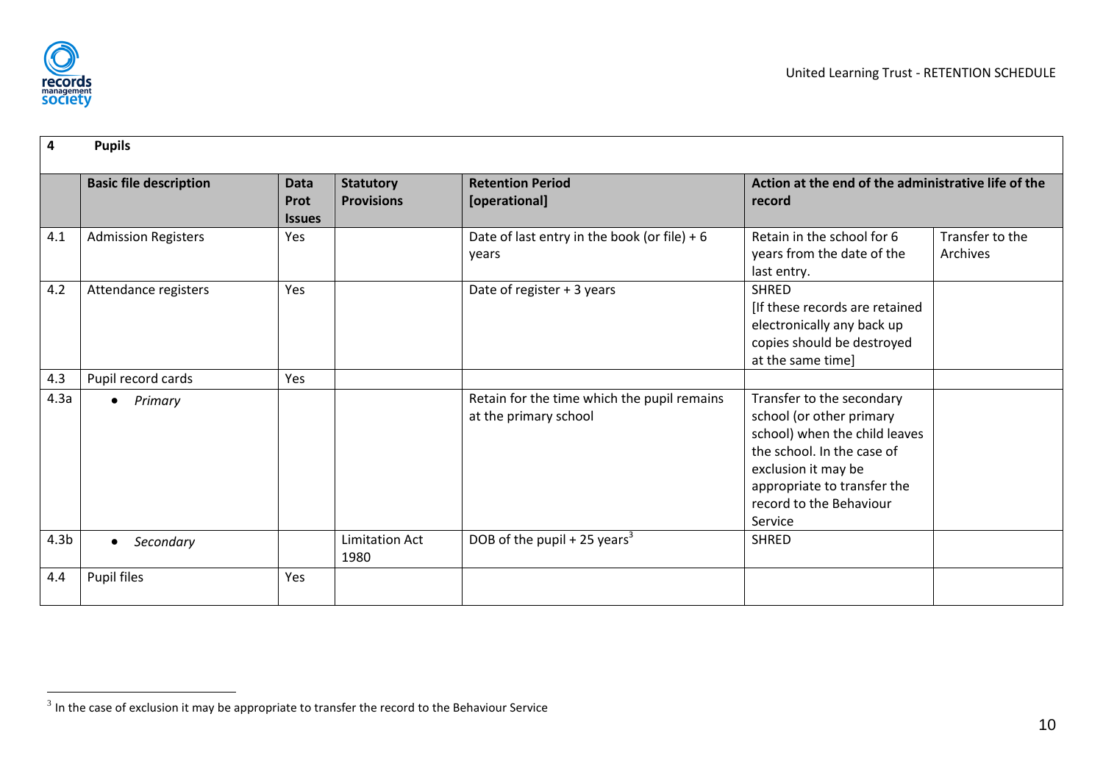

| 4                | <b>Pupils</b>                 |                                      |                                       |                                                                      |                                                                                                                                                                                                                  |                             |
|------------------|-------------------------------|--------------------------------------|---------------------------------------|----------------------------------------------------------------------|------------------------------------------------------------------------------------------------------------------------------------------------------------------------------------------------------------------|-----------------------------|
|                  | <b>Basic file description</b> | <b>Data</b><br>Prot<br><b>Issues</b> | <b>Statutory</b><br><b>Provisions</b> | <b>Retention Period</b><br>[operational]                             | Action at the end of the administrative life of the<br>record                                                                                                                                                    |                             |
| 4.1              | <b>Admission Registers</b>    | Yes                                  |                                       | Date of last entry in the book (or file) + $6$<br>years              | Retain in the school for 6<br>years from the date of the<br>last entry.                                                                                                                                          | Transfer to the<br>Archives |
| 4.2              | Attendance registers          | Yes                                  |                                       | Date of register + 3 years                                           | <b>SHRED</b><br>[If these records are retained<br>electronically any back up<br>copies should be destroyed<br>at the same time]                                                                                  |                             |
| 4.3              | Pupil record cards            | Yes                                  |                                       |                                                                      |                                                                                                                                                                                                                  |                             |
| 4.3a             | Primary<br>$\bullet$          |                                      |                                       | Retain for the time which the pupil remains<br>at the primary school | Transfer to the secondary<br>school (or other primary<br>school) when the child leaves<br>the school. In the case of<br>exclusion it may be<br>appropriate to transfer the<br>record to the Behaviour<br>Service |                             |
| 4.3 <sub>b</sub> | Secondary<br>$\bullet$        |                                      | <b>Limitation Act</b><br>1980         | DOB of the pupil + 25 years <sup>3</sup>                             | <b>SHRED</b>                                                                                                                                                                                                     |                             |
| 4.4              | Pupil files                   | Yes                                  |                                       |                                                                      |                                                                                                                                                                                                                  |                             |

<span id="page-10-4"></span><span id="page-10-3"></span><span id="page-10-2"></span><span id="page-10-1"></span><span id="page-10-0"></span> $\frac{3}{3}$  In the case of exclusion it may be appropriate to transfer the record to the Behaviour Service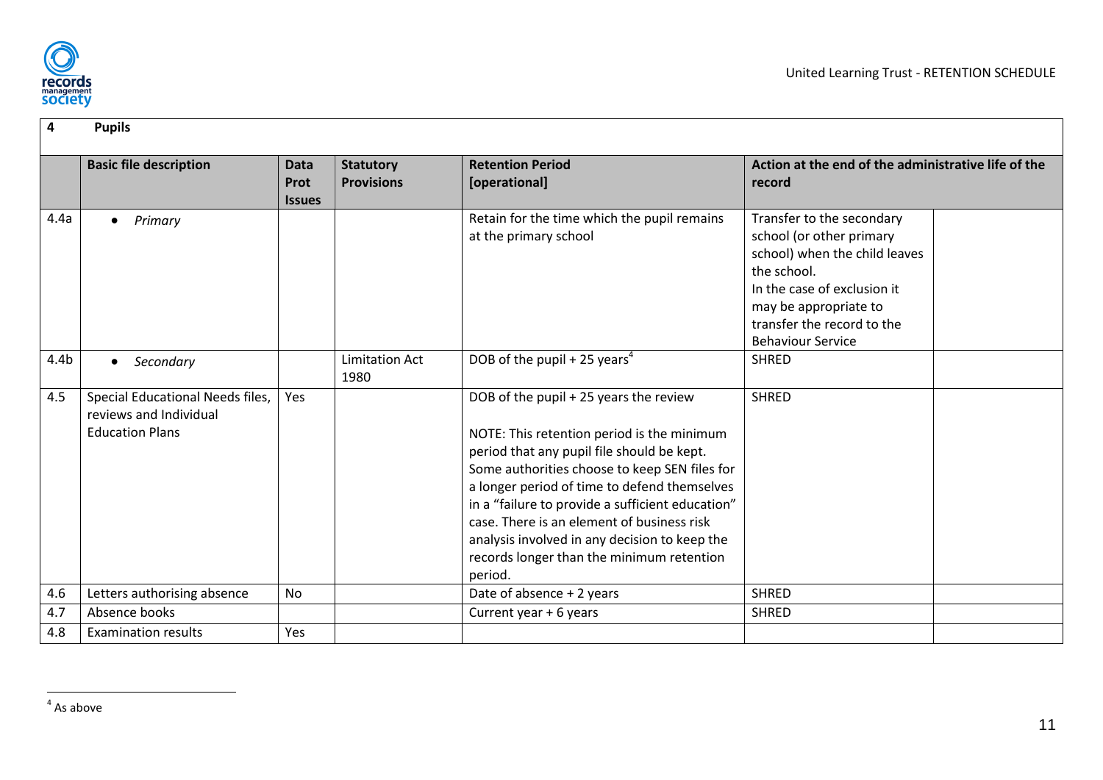

<span id="page-11-3"></span><span id="page-11-2"></span><span id="page-11-1"></span><span id="page-11-0"></span>

| 4                | <b>Pupils</b>                                                                        |                               |                                       |                                                                                                                                                                                                                                                                                                                                                                                                                                                |                                                                                                                                                                                                                         |
|------------------|--------------------------------------------------------------------------------------|-------------------------------|---------------------------------------|------------------------------------------------------------------------------------------------------------------------------------------------------------------------------------------------------------------------------------------------------------------------------------------------------------------------------------------------------------------------------------------------------------------------------------------------|-------------------------------------------------------------------------------------------------------------------------------------------------------------------------------------------------------------------------|
|                  | <b>Basic file description</b>                                                        | Data<br>Prot<br><b>Issues</b> | <b>Statutory</b><br><b>Provisions</b> | <b>Retention Period</b><br>[operational]                                                                                                                                                                                                                                                                                                                                                                                                       | Action at the end of the administrative life of the<br>record                                                                                                                                                           |
| 4.4a             | Primary<br>$\bullet$                                                                 |                               |                                       | Retain for the time which the pupil remains<br>at the primary school                                                                                                                                                                                                                                                                                                                                                                           | Transfer to the secondary<br>school (or other primary<br>school) when the child leaves<br>the school.<br>In the case of exclusion it<br>may be appropriate to<br>transfer the record to the<br><b>Behaviour Service</b> |
| 4.4 <sub>b</sub> | Secondary                                                                            |                               | <b>Limitation Act</b><br>1980         | DOB of the pupil + 25 years <sup>4</sup>                                                                                                                                                                                                                                                                                                                                                                                                       | <b>SHRED</b>                                                                                                                                                                                                            |
| 4.5              | Special Educational Needs files,<br>reviews and Individual<br><b>Education Plans</b> | Yes                           |                                       | DOB of the pupil + 25 years the review<br>NOTE: This retention period is the minimum<br>period that any pupil file should be kept.<br>Some authorities choose to keep SEN files for<br>a longer period of time to defend themselves<br>in a "failure to provide a sufficient education"<br>case. There is an element of business risk<br>analysis involved in any decision to keep the<br>records longer than the minimum retention<br>period. | <b>SHRED</b>                                                                                                                                                                                                            |
| 4.6              | Letters authorising absence                                                          | No                            |                                       | Date of absence + 2 years                                                                                                                                                                                                                                                                                                                                                                                                                      | <b>SHRED</b>                                                                                                                                                                                                            |
| 4.7              | Absence books                                                                        |                               |                                       | Current year + 6 years                                                                                                                                                                                                                                                                                                                                                                                                                         | <b>SHRED</b>                                                                                                                                                                                                            |
| 4.8              | <b>Examination results</b>                                                           | Yes                           |                                       |                                                                                                                                                                                                                                                                                                                                                                                                                                                |                                                                                                                                                                                                                         |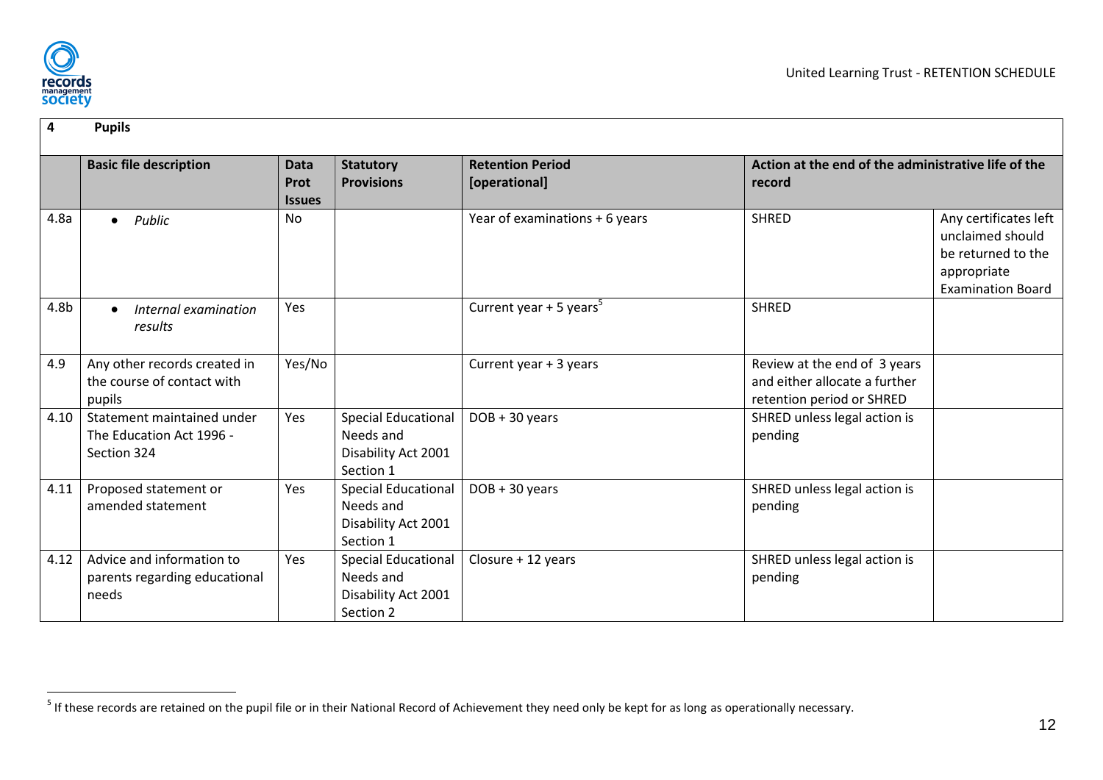

| 4    | <b>Pupils</b>                                                         |                                      |                                                                             |                                          |                                                                                            |                                                                                                            |
|------|-----------------------------------------------------------------------|--------------------------------------|-----------------------------------------------------------------------------|------------------------------------------|--------------------------------------------------------------------------------------------|------------------------------------------------------------------------------------------------------------|
|      | <b>Basic file description</b>                                         | <b>Data</b><br>Prot<br><b>Issues</b> | <b>Statutory</b><br><b>Provisions</b>                                       | <b>Retention Period</b><br>[operational] | Action at the end of the administrative life of the<br>record                              |                                                                                                            |
| 4.8a | Public<br>$\bullet$                                                   | <b>No</b>                            |                                                                             | Year of examinations + 6 years           | <b>SHRED</b>                                                                               | Any certificates left<br>unclaimed should<br>be returned to the<br>appropriate<br><b>Examination Board</b> |
| 4.8b | Internal examination<br>results                                       | Yes                                  |                                                                             | Current year $+5$ years <sup>5</sup>     | <b>SHRED</b>                                                                               |                                                                                                            |
| 4.9  | Any other records created in<br>the course of contact with<br>pupils  | Yes/No                               |                                                                             | Current year + 3 years                   | Review at the end of 3 years<br>and either allocate a further<br>retention period or SHRED |                                                                                                            |
| 4.10 | Statement maintained under<br>The Education Act 1996 -<br>Section 324 | Yes                                  | <b>Special Educational</b><br>Needs and<br>Disability Act 2001<br>Section 1 | $DOB + 30 years$                         | SHRED unless legal action is<br>pending                                                    |                                                                                                            |
| 4.11 | Proposed statement or<br>amended statement                            | Yes                                  | <b>Special Educational</b><br>Needs and<br>Disability Act 2001<br>Section 1 | $DOB + 30 years$                         | SHRED unless legal action is<br>pending                                                    |                                                                                                            |
| 4.12 | Advice and information to<br>parents regarding educational<br>needs   | Yes                                  | <b>Special Educational</b><br>Needs and<br>Disability Act 2001<br>Section 2 | Closure + 12 years                       | SHRED unless legal action is<br>pending                                                    |                                                                                                            |

<span id="page-12-3"></span><span id="page-12-2"></span><span id="page-12-1"></span><span id="page-12-0"></span> 5 If these records are retained on the pupil file or in their National Record of Achievement they need only be kept for as long as operationally necessary.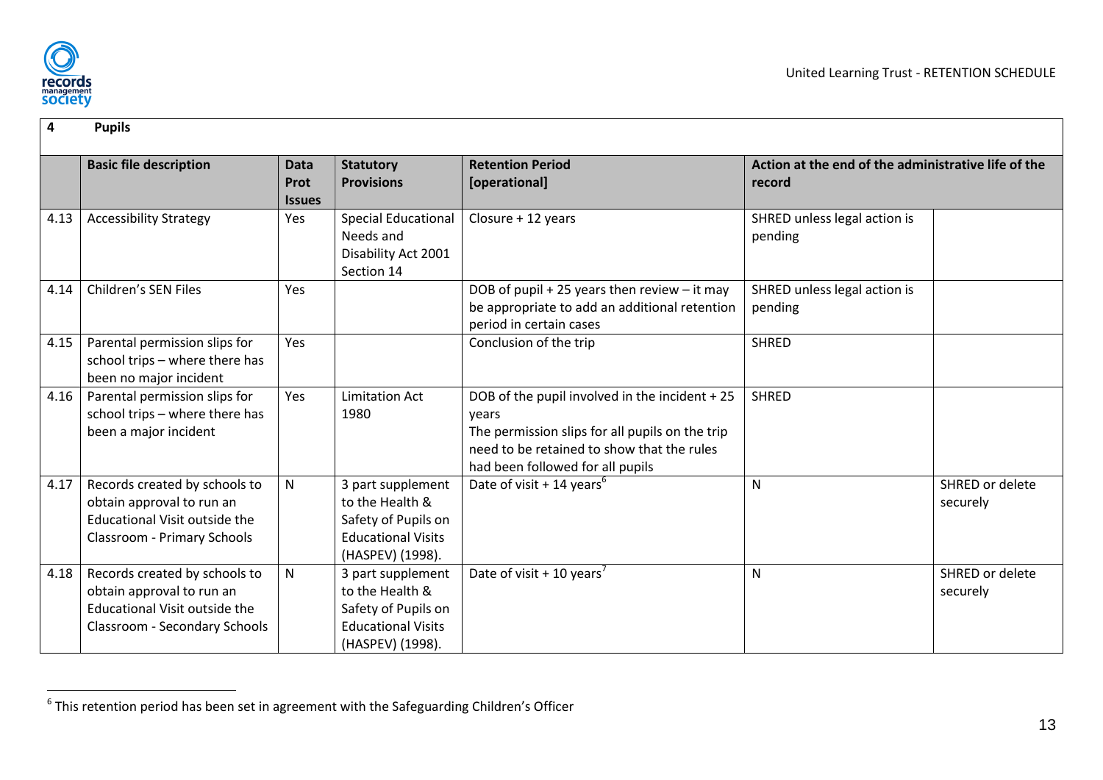

| 4    | <b>Pupils</b>                                                                                                                            |                                      |                                                                                                              |                                                                                                                                                                                              |                                                               |                             |
|------|------------------------------------------------------------------------------------------------------------------------------------------|--------------------------------------|--------------------------------------------------------------------------------------------------------------|----------------------------------------------------------------------------------------------------------------------------------------------------------------------------------------------|---------------------------------------------------------------|-----------------------------|
|      | <b>Basic file description</b>                                                                                                            | <b>Data</b><br>Prot<br><b>Issues</b> | <b>Statutory</b><br><b>Provisions</b>                                                                        | <b>Retention Period</b><br>[operational]                                                                                                                                                     | Action at the end of the administrative life of the<br>record |                             |
| 4.13 | <b>Accessibility Strategy</b>                                                                                                            | Yes                                  | <b>Special Educational</b><br>Needs and<br>Disability Act 2001<br>Section 14                                 | Closure + 12 years                                                                                                                                                                           | SHRED unless legal action is<br>pending                       |                             |
| 4.14 | <b>Children's SEN Files</b>                                                                                                              | Yes                                  |                                                                                                              | DOB of pupil + 25 years then review $-$ it may<br>be appropriate to add an additional retention<br>period in certain cases                                                                   | SHRED unless legal action is<br>pending                       |                             |
| 4.15 | Parental permission slips for<br>school trips - where there has<br>been no major incident                                                | Yes                                  |                                                                                                              | Conclusion of the trip                                                                                                                                                                       | <b>SHRED</b>                                                  |                             |
| 4.16 | Parental permission slips for<br>school trips - where there has<br>been a major incident                                                 | Yes                                  | <b>Limitation Act</b><br>1980                                                                                | DOB of the pupil involved in the incident + 25<br>years<br>The permission slips for all pupils on the trip<br>need to be retained to show that the rules<br>had been followed for all pupils | <b>SHRED</b>                                                  |                             |
| 4.17 | Records created by schools to<br>obtain approval to run an<br><b>Educational Visit outside the</b><br><b>Classroom - Primary Schools</b> | $\mathsf{N}$                         | 3 part supplement<br>to the Health &<br>Safety of Pupils on<br><b>Educational Visits</b><br>(HASPEV) (1998). | Date of visit + 14 years <sup>6</sup>                                                                                                                                                        | $\mathsf{N}$                                                  | SHRED or delete<br>securely |
| 4.18 | Records created by schools to<br>obtain approval to run an<br>Educational Visit outside the<br>Classroom - Secondary Schools             | $\mathsf{N}$                         | 3 part supplement<br>to the Health &<br>Safety of Pupils on<br><b>Educational Visits</b><br>(HASPEV) (1998). | Date of visit + 10 years <sup>7</sup>                                                                                                                                                        | $\mathsf{N}$                                                  | SHRED or delete<br>securely |

<span id="page-13-5"></span><span id="page-13-4"></span><span id="page-13-3"></span><span id="page-13-2"></span><span id="page-13-1"></span><span id="page-13-0"></span> 6 This retention period has been set in agreement with the Safeguarding Children's Officer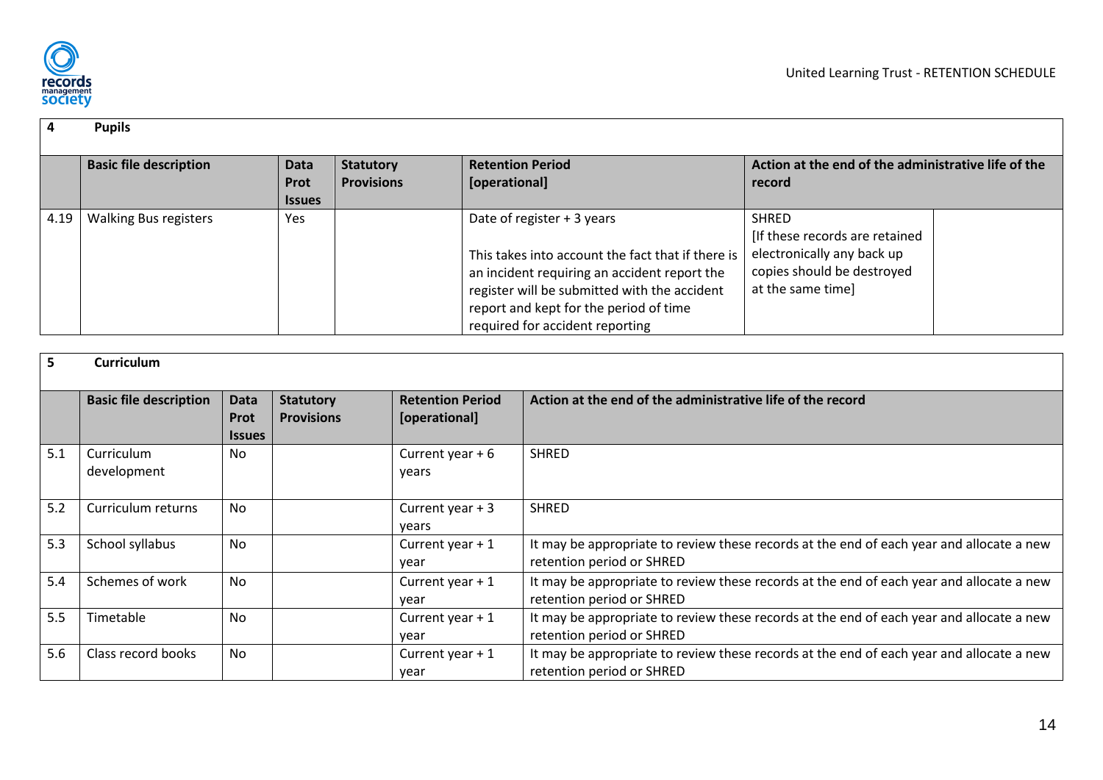

#### **4 Pupils Basic file description Data Prot Issues Statutory Provisions Retention Period [operational] Action at the end of the administrative life of the record** 4.19 | Walking Bus registers | Yes | Yes | Date of register + 3 years This takes into account the fact that if there is an incident requiring an accident report the register will be submitted with the accident report and kept for the period of time required for accident reporting **SHRED** [If these records are retained electronically any back up copies should be destroyed at the same time]

<span id="page-14-7"></span><span id="page-14-6"></span><span id="page-14-5"></span><span id="page-14-4"></span><span id="page-14-3"></span><span id="page-14-2"></span><span id="page-14-1"></span><span id="page-14-0"></span>

|     | <b>Curriculum</b>             |                                      |                                       |                                          |                                                                                                                       |
|-----|-------------------------------|--------------------------------------|---------------------------------------|------------------------------------------|-----------------------------------------------------------------------------------------------------------------------|
|     | <b>Basic file description</b> | <b>Data</b><br>Prot<br><b>Issues</b> | <b>Statutory</b><br><b>Provisions</b> | <b>Retention Period</b><br>[operational] | Action at the end of the administrative life of the record                                                            |
| 5.1 | Curriculum<br>development     | No                                   |                                       | Current year $+6$<br>years               | <b>SHRED</b>                                                                                                          |
| 5.2 | Curriculum returns            | <b>No</b>                            |                                       | Current year $+3$<br>years               | <b>SHRED</b>                                                                                                          |
| 5.3 | School syllabus               | <b>No</b>                            |                                       | Current year $+1$<br>year                | It may be appropriate to review these records at the end of each year and allocate a new<br>retention period or SHRED |
| 5.4 | Schemes of work               | <b>No</b>                            |                                       | Current year $+1$<br>year                | It may be appropriate to review these records at the end of each year and allocate a new<br>retention period or SHRED |
| 5.5 | Timetable                     | No                                   |                                       | Current year $+1$<br>year                | It may be appropriate to review these records at the end of each year and allocate a new<br>retention period or SHRED |
| 5.6 | Class record books            | No                                   |                                       | Current year $+1$<br>year                | It may be appropriate to review these records at the end of each year and allocate a new<br>retention period or SHRED |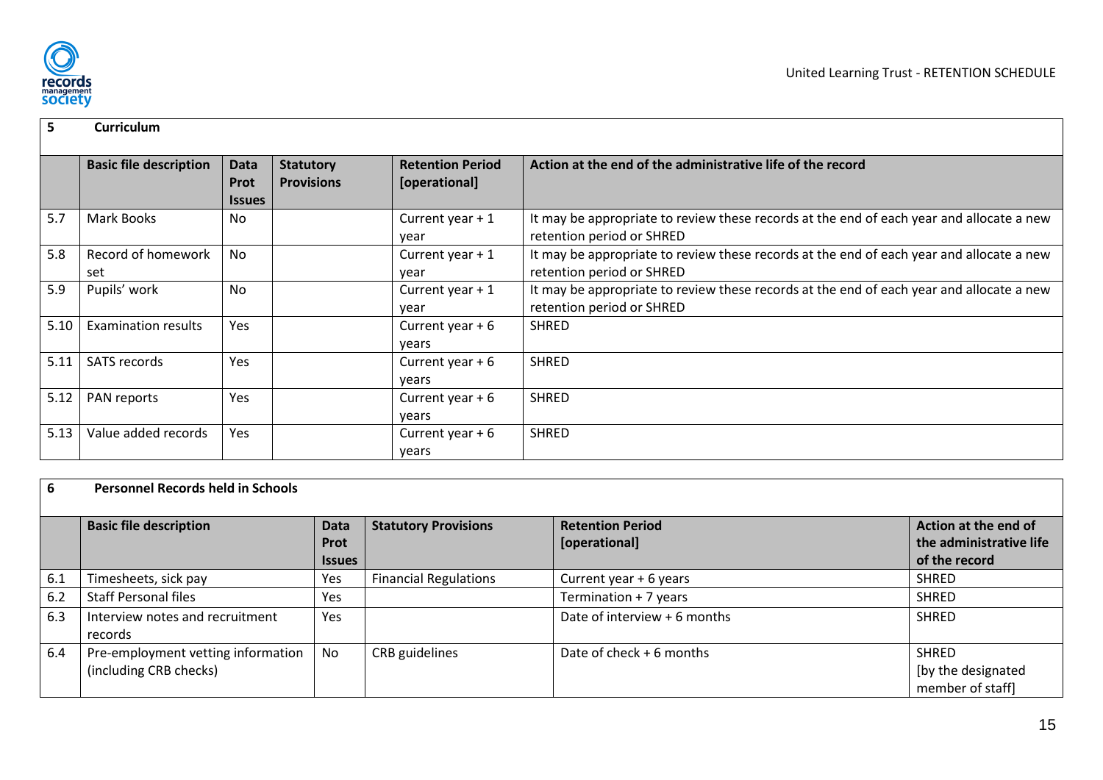

| 5    | <b>Curriculum</b>             |                                      |                                       |                                          |                                                                                                                       |
|------|-------------------------------|--------------------------------------|---------------------------------------|------------------------------------------|-----------------------------------------------------------------------------------------------------------------------|
|      | <b>Basic file description</b> | Data<br><b>Prot</b><br><b>Issues</b> | <b>Statutory</b><br><b>Provisions</b> | <b>Retention Period</b><br>[operational] | Action at the end of the administrative life of the record                                                            |
| 5.7  | Mark Books                    | No                                   |                                       | Current year $+1$<br>year                | It may be appropriate to review these records at the end of each year and allocate a new<br>retention period or SHRED |
| 5.8  | Record of homework<br>set     | No                                   |                                       | Current year $+1$<br>year                | It may be appropriate to review these records at the end of each year and allocate a new<br>retention period or SHRED |
| 5.9  | Pupils' work                  | No                                   |                                       | Current year $+1$<br>year                | It may be appropriate to review these records at the end of each year and allocate a new<br>retention period or SHRED |
| 5.10 | Examination results           | Yes                                  |                                       | Current year $+6$<br>years               | <b>SHRED</b>                                                                                                          |
| 5.11 | <b>SATS records</b>           | Yes                                  |                                       | Current year $+6$<br>years               | <b>SHRED</b>                                                                                                          |
| 5.12 | PAN reports                   | Yes                                  |                                       | Current year $+6$<br>years               | <b>SHRED</b>                                                                                                          |
| 5.13 | Value added records           | Yes                                  |                                       | Current year $+6$<br>years               | <b>SHRED</b>                                                                                                          |

<span id="page-15-11"></span><span id="page-15-10"></span><span id="page-15-9"></span><span id="page-15-8"></span><span id="page-15-7"></span><span id="page-15-6"></span><span id="page-15-5"></span><span id="page-15-4"></span><span id="page-15-3"></span><span id="page-15-2"></span><span id="page-15-1"></span><span id="page-15-0"></span>

| 6   | <b>Personnel Records held in Schools</b>                     |                                             |                              |                                          |                                                                  |  |  |  |  |
|-----|--------------------------------------------------------------|---------------------------------------------|------------------------------|------------------------------------------|------------------------------------------------------------------|--|--|--|--|
|     | <b>Basic file description</b>                                | <b>Data</b><br><b>Prot</b><br><b>Issues</b> | <b>Statutory Provisions</b>  | <b>Retention Period</b><br>[operational] | Action at the end of<br>the administrative life<br>of the record |  |  |  |  |
| 6.1 | Timesheets, sick pay                                         | Yes                                         | <b>Financial Regulations</b> | Current year $+6$ years                  | <b>SHRED</b>                                                     |  |  |  |  |
| 6.2 | <b>Staff Personal files</b>                                  | Yes                                         |                              | Termination + 7 years                    | <b>SHRED</b>                                                     |  |  |  |  |
| 6.3 | Interview notes and recruitment<br>records                   | Yes                                         |                              | Date of interview + 6 months             | <b>SHRED</b>                                                     |  |  |  |  |
| 6.4 | Pre-employment vetting information<br>(including CRB checks) | No                                          | CRB guidelines               | Date of check + 6 months                 | <b>SHRED</b><br>[by the designated<br>member of staff            |  |  |  |  |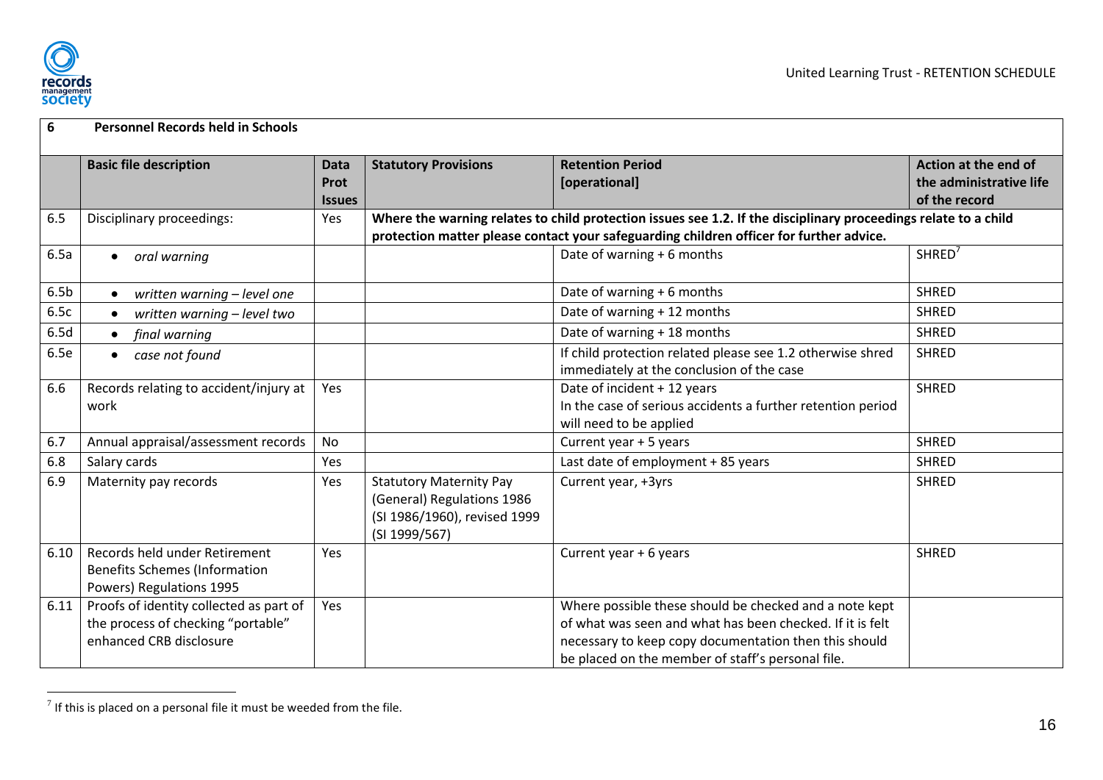

| 6                | <b>Personnel Records held in Schools</b> |               |                                |                                                                                                                 |                         |
|------------------|------------------------------------------|---------------|--------------------------------|-----------------------------------------------------------------------------------------------------------------|-------------------------|
|                  | <b>Basic file description</b>            | <b>Data</b>   | <b>Statutory Provisions</b>    | <b>Retention Period</b>                                                                                         | Action at the end of    |
|                  |                                          | Prot          |                                | [operational]                                                                                                   | the administrative life |
|                  |                                          | <b>Issues</b> |                                |                                                                                                                 | of the record           |
| 6.5              | Disciplinary proceedings:                | Yes           |                                | Where the warning relates to child protection issues see 1.2. If the disciplinary proceedings relate to a child |                         |
|                  |                                          |               |                                | protection matter please contact your safeguarding children officer for further advice.                         |                         |
| 6.5a             | oral warning<br>$\bullet$                |               |                                | Date of warning $+6$ months                                                                                     | SHRED <sup>7</sup>      |
| 6.5 <sub>b</sub> | written warning - level one              |               |                                | Date of warning + 6 months                                                                                      | <b>SHRED</b>            |
| 6.5c             | written warning - level two              |               |                                | Date of warning + 12 months                                                                                     | <b>SHRED</b>            |
| 6.5d             | final warning                            |               |                                | Date of warning + 18 months                                                                                     | <b>SHRED</b>            |
| 6.5e             | case not found                           |               |                                | If child protection related please see 1.2 otherwise shred                                                      | <b>SHRED</b>            |
|                  |                                          |               |                                | immediately at the conclusion of the case                                                                       |                         |
| 6.6              | Records relating to accident/injury at   | Yes           |                                | Date of incident + 12 years                                                                                     | <b>SHRED</b>            |
|                  | work                                     |               |                                | In the case of serious accidents a further retention period                                                     |                         |
|                  |                                          |               |                                | will need to be applied                                                                                         |                         |
| 6.7              | Annual appraisal/assessment records      | <b>No</b>     |                                | Current year + 5 years                                                                                          | <b>SHRED</b>            |
| 6.8              | Salary cards                             | Yes           |                                | Last date of employment + 85 years                                                                              | <b>SHRED</b>            |
| 6.9              | Maternity pay records                    | Yes           | <b>Statutory Maternity Pay</b> | Current year, +3yrs                                                                                             | <b>SHRED</b>            |
|                  |                                          |               | (General) Regulations 1986     |                                                                                                                 |                         |
|                  |                                          |               | (SI 1986/1960), revised 1999   |                                                                                                                 |                         |
|                  |                                          |               | (SI 1999/567)                  |                                                                                                                 |                         |
| 6.10             | Records held under Retirement            | Yes           |                                | Current year + 6 years                                                                                          | <b>SHRED</b>            |
|                  | <b>Benefits Schemes (Information</b>     |               |                                |                                                                                                                 |                         |
|                  | Powers) Regulations 1995                 |               |                                |                                                                                                                 |                         |
| 6.11             | Proofs of identity collected as part of  | Yes           |                                | Where possible these should be checked and a note kept                                                          |                         |
|                  | the process of checking "portable"       |               |                                | of what was seen and what has been checked. If it is felt                                                       |                         |
|                  | enhanced CRB disclosure                  |               |                                | necessary to keep copy documentation then this should                                                           |                         |
|                  |                                          |               |                                | be placed on the member of staff's personal file.                                                               |                         |

The sum to the set of  $\overline{a}$  if this is placed on a personal file it must be weeded from the file.

<span id="page-16-6"></span><span id="page-16-5"></span><span id="page-16-4"></span><span id="page-16-3"></span><span id="page-16-2"></span><span id="page-16-1"></span><span id="page-16-0"></span>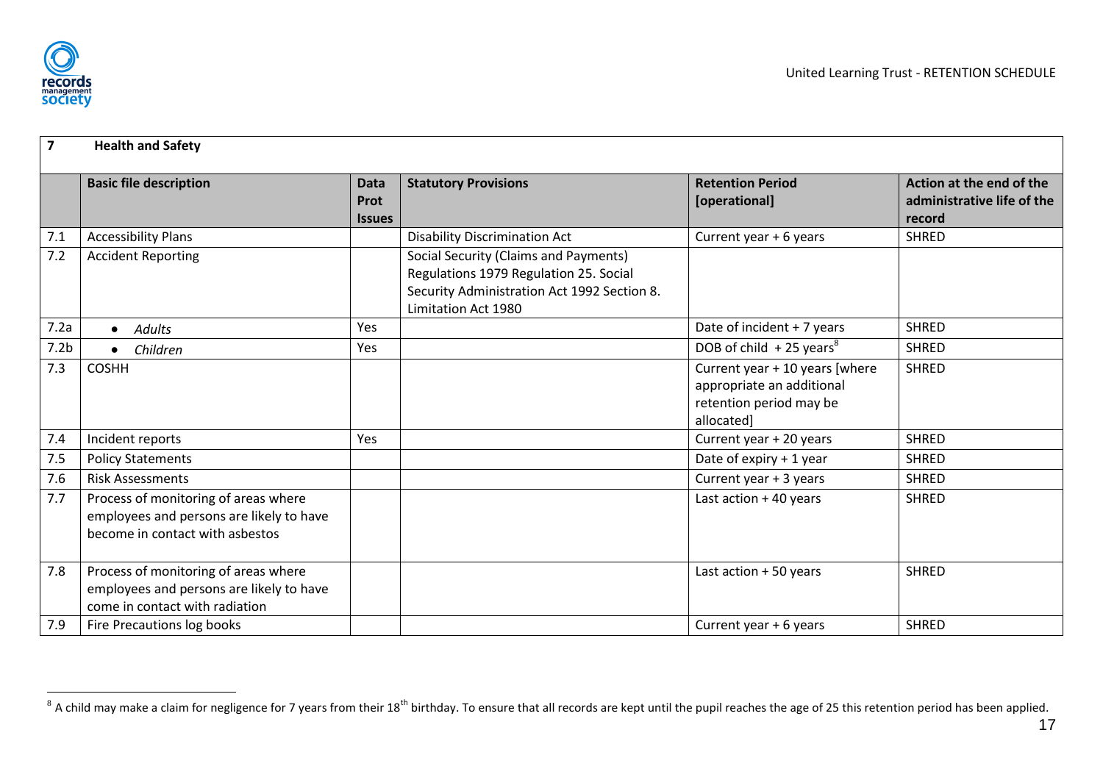

| $\overline{7}$   | <b>Health and Safety</b>                                                                                            |                                      |                                                                                                                                                       |                                                                                                      |                                                                  |
|------------------|---------------------------------------------------------------------------------------------------------------------|--------------------------------------|-------------------------------------------------------------------------------------------------------------------------------------------------------|------------------------------------------------------------------------------------------------------|------------------------------------------------------------------|
|                  | <b>Basic file description</b>                                                                                       | <b>Data</b><br>Prot<br><b>Issues</b> | <b>Statutory Provisions</b>                                                                                                                           | <b>Retention Period</b><br>[operational]                                                             | Action at the end of the<br>administrative life of the<br>record |
| 7.1              | <b>Accessibility Plans</b>                                                                                          |                                      | <b>Disability Discrimination Act</b>                                                                                                                  | Current year + 6 years                                                                               | <b>SHRED</b>                                                     |
| 7.2              | <b>Accident Reporting</b>                                                                                           |                                      | Social Security (Claims and Payments)<br>Regulations 1979 Regulation 25. Social<br>Security Administration Act 1992 Section 8.<br>Limitation Act 1980 |                                                                                                      |                                                                  |
| 7.2a             | <b>Adults</b><br>$\bullet$                                                                                          | Yes                                  |                                                                                                                                                       | Date of incident + 7 years                                                                           | <b>SHRED</b>                                                     |
| 7.2 <sub>b</sub> | Children                                                                                                            | Yes                                  |                                                                                                                                                       | DOB of child $+25$ years <sup>8</sup>                                                                | <b>SHRED</b>                                                     |
| 7.3              | <b>COSHH</b>                                                                                                        |                                      |                                                                                                                                                       | Current year + 10 years [where<br>appropriate an additional<br>retention period may be<br>allocated] | <b>SHRED</b>                                                     |
| 7.4              | Incident reports                                                                                                    | Yes                                  |                                                                                                                                                       | Current year + 20 years                                                                              | <b>SHRED</b>                                                     |
| 7.5              | <b>Policy Statements</b>                                                                                            |                                      |                                                                                                                                                       | Date of expiry + 1 year                                                                              | <b>SHRED</b>                                                     |
| 7.6              | <b>Risk Assessments</b>                                                                                             |                                      |                                                                                                                                                       | Current year + 3 years                                                                               | <b>SHRED</b>                                                     |
| 7.7              | Process of monitoring of areas where<br>employees and persons are likely to have<br>become in contact with asbestos |                                      |                                                                                                                                                       | Last action + 40 years                                                                               | <b>SHRED</b>                                                     |
| 7.8              | Process of monitoring of areas where<br>employees and persons are likely to have<br>come in contact with radiation  |                                      |                                                                                                                                                       | Last action $+50$ years                                                                              | <b>SHRED</b>                                                     |
| 7.9              | Fire Precautions log books                                                                                          |                                      |                                                                                                                                                       | Current year + 6 years                                                                               | <b>SHRED</b>                                                     |

<span id="page-17-9"></span><span id="page-17-8"></span><span id="page-17-7"></span><span id="page-17-6"></span><span id="page-17-5"></span><span id="page-17-4"></span><span id="page-17-3"></span><span id="page-17-2"></span><span id="page-17-1"></span><span id="page-17-0"></span> $^8$  A child may make a claim for negligence for 7 years from their 18<sup>th</sup> birthday. To ensure that all records are kept until the pupil reaches the age of 25 this retention period has been applied.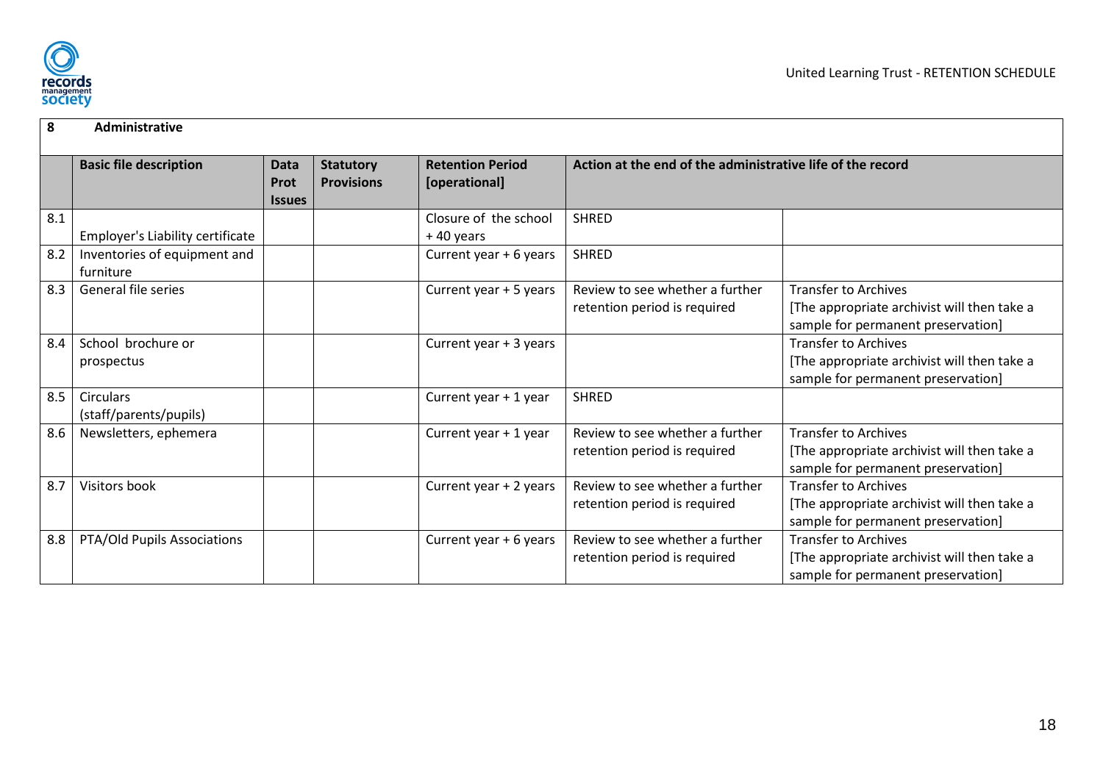

<span id="page-18-8"></span><span id="page-18-7"></span><span id="page-18-6"></span><span id="page-18-5"></span><span id="page-18-4"></span><span id="page-18-3"></span><span id="page-18-2"></span><span id="page-18-1"></span><span id="page-18-0"></span>

| 8   | Administrative                   |                      |                   |                         |                                                            |                                             |
|-----|----------------------------------|----------------------|-------------------|-------------------------|------------------------------------------------------------|---------------------------------------------|
|     | <b>Basic file description</b>    | <b>Data</b>          | <b>Statutory</b>  | <b>Retention Period</b> | Action at the end of the administrative life of the record |                                             |
|     |                                  | Prot                 | <b>Provisions</b> | [operational]           |                                                            |                                             |
|     |                                  | <i><b>Issues</b></i> |                   |                         |                                                            |                                             |
| 8.1 |                                  |                      |                   | Closure of the school   | <b>SHRED</b>                                               |                                             |
|     | Employer's Liability certificate |                      |                   | +40 years               |                                                            |                                             |
| 8.2 | Inventories of equipment and     |                      |                   | Current year $+6$ years | <b>SHRED</b>                                               |                                             |
|     | furniture                        |                      |                   |                         |                                                            |                                             |
| 8.3 | General file series              |                      |                   | Current year + 5 years  | Review to see whether a further                            | <b>Transfer to Archives</b>                 |
|     |                                  |                      |                   |                         | retention period is required                               | [The appropriate archivist will then take a |
|     |                                  |                      |                   |                         |                                                            | sample for permanent preservation]          |
| 8.4 | School brochure or               |                      |                   | Current year + 3 years  |                                                            | <b>Transfer to Archives</b>                 |
|     | prospectus                       |                      |                   |                         |                                                            | [The appropriate archivist will then take a |
|     |                                  |                      |                   |                         |                                                            | sample for permanent preservation]          |
| 8.5 | <b>Circulars</b>                 |                      |                   | Current year + 1 year   | <b>SHRED</b>                                               |                                             |
|     | (staff/parents/pupils)           |                      |                   |                         |                                                            |                                             |
| 8.6 | Newsletters, ephemera            |                      |                   | Current year + 1 year   | Review to see whether a further                            | <b>Transfer to Archives</b>                 |
|     |                                  |                      |                   |                         | retention period is required                               | [The appropriate archivist will then take a |
|     |                                  |                      |                   |                         |                                                            | sample for permanent preservation]          |
| 8.7 | Visitors book                    |                      |                   | Current year + 2 years  | Review to see whether a further                            | <b>Transfer to Archives</b>                 |
|     |                                  |                      |                   |                         | retention period is required                               | [The appropriate archivist will then take a |
|     |                                  |                      |                   |                         |                                                            | sample for permanent preservation]          |
| 8.8 | PTA/Old Pupils Associations      |                      |                   | Current year + 6 years  | Review to see whether a further                            | <b>Transfer to Archives</b>                 |
|     |                                  |                      |                   |                         | retention period is required                               | [The appropriate archivist will then take a |
|     |                                  |                      |                   |                         |                                                            | sample for permanent preservation]          |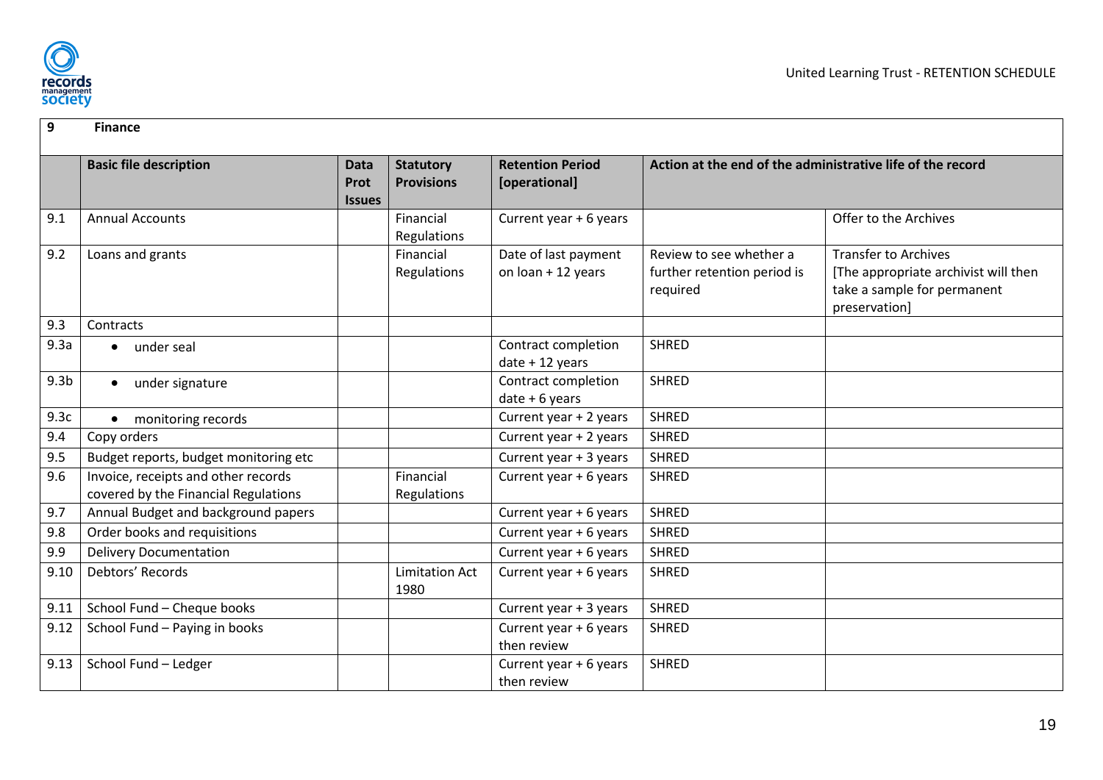

<span id="page-19-13"></span><span id="page-19-12"></span><span id="page-19-11"></span><span id="page-19-10"></span><span id="page-19-9"></span><span id="page-19-8"></span><span id="page-19-7"></span><span id="page-19-6"></span><span id="page-19-5"></span><span id="page-19-4"></span><span id="page-19-3"></span><span id="page-19-2"></span><span id="page-19-1"></span><span id="page-19-0"></span>

| 9                | <b>Finance</b>                                                              |                                             |                                       |                                            |                                                                    |                                                                                                                     |  |  |  |
|------------------|-----------------------------------------------------------------------------|---------------------------------------------|---------------------------------------|--------------------------------------------|--------------------------------------------------------------------|---------------------------------------------------------------------------------------------------------------------|--|--|--|
|                  | <b>Basic file description</b>                                               | <b>Data</b><br>Prot<br><i><b>Issues</b></i> | <b>Statutory</b><br><b>Provisions</b> | <b>Retention Period</b><br>[operational]   | Action at the end of the administrative life of the record         |                                                                                                                     |  |  |  |
| 9.1              | <b>Annual Accounts</b>                                                      |                                             | Financial<br>Regulations              | Current year + 6 years                     |                                                                    | Offer to the Archives                                                                                               |  |  |  |
| 9.2              | Loans and grants                                                            |                                             | Financial<br>Regulations              | Date of last payment<br>on loan + 12 years | Review to see whether a<br>further retention period is<br>required | <b>Transfer to Archives</b><br>[The appropriate archivist will then<br>take a sample for permanent<br>preservation] |  |  |  |
| 9.3              | Contracts                                                                   |                                             |                                       |                                            |                                                                    |                                                                                                                     |  |  |  |
| 9.3a             | under seal<br>$\bullet$                                                     |                                             |                                       | Contract completion<br>$date + 12 years$   | <b>SHRED</b>                                                       |                                                                                                                     |  |  |  |
| 9.3 <sub>b</sub> | under signature<br>$\bullet$                                                |                                             |                                       | Contract completion<br>$date + 6 years$    | <b>SHRED</b>                                                       |                                                                                                                     |  |  |  |
| 9.3c             | monitoring records                                                          |                                             |                                       | Current year + 2 years                     | <b>SHRED</b>                                                       |                                                                                                                     |  |  |  |
| 9.4              | Copy orders                                                                 |                                             |                                       | Current year + 2 years                     | <b>SHRED</b>                                                       |                                                                                                                     |  |  |  |
| 9.5              | Budget reports, budget monitoring etc                                       |                                             |                                       | Current year + 3 years                     | <b>SHRED</b>                                                       |                                                                                                                     |  |  |  |
| 9.6              | Invoice, receipts and other records<br>covered by the Financial Regulations |                                             | Financial<br>Regulations              | Current year + 6 years                     | <b>SHRED</b>                                                       |                                                                                                                     |  |  |  |
| 9.7              | Annual Budget and background papers                                         |                                             |                                       | Current year + 6 years                     | <b>SHRED</b>                                                       |                                                                                                                     |  |  |  |
| 9.8              | Order books and requisitions                                                |                                             |                                       | Current year + 6 years                     | <b>SHRED</b>                                                       |                                                                                                                     |  |  |  |
| 9.9              | <b>Delivery Documentation</b>                                               |                                             |                                       | Current year + 6 years                     | <b>SHRED</b>                                                       |                                                                                                                     |  |  |  |
| 9.10             | Debtors' Records                                                            |                                             | <b>Limitation Act</b><br>1980         | Current year + 6 years                     | <b>SHRED</b>                                                       |                                                                                                                     |  |  |  |
| 9.11             | School Fund - Cheque books                                                  |                                             |                                       | Current year + 3 years                     | <b>SHRED</b>                                                       |                                                                                                                     |  |  |  |
| 9.12             | School Fund - Paying in books                                               |                                             |                                       | Current year + 6 years<br>then review      | <b>SHRED</b>                                                       |                                                                                                                     |  |  |  |
| 9.13             | School Fund - Ledger                                                        |                                             |                                       | Current year + 6 years<br>then review      | <b>SHRED</b>                                                       |                                                                                                                     |  |  |  |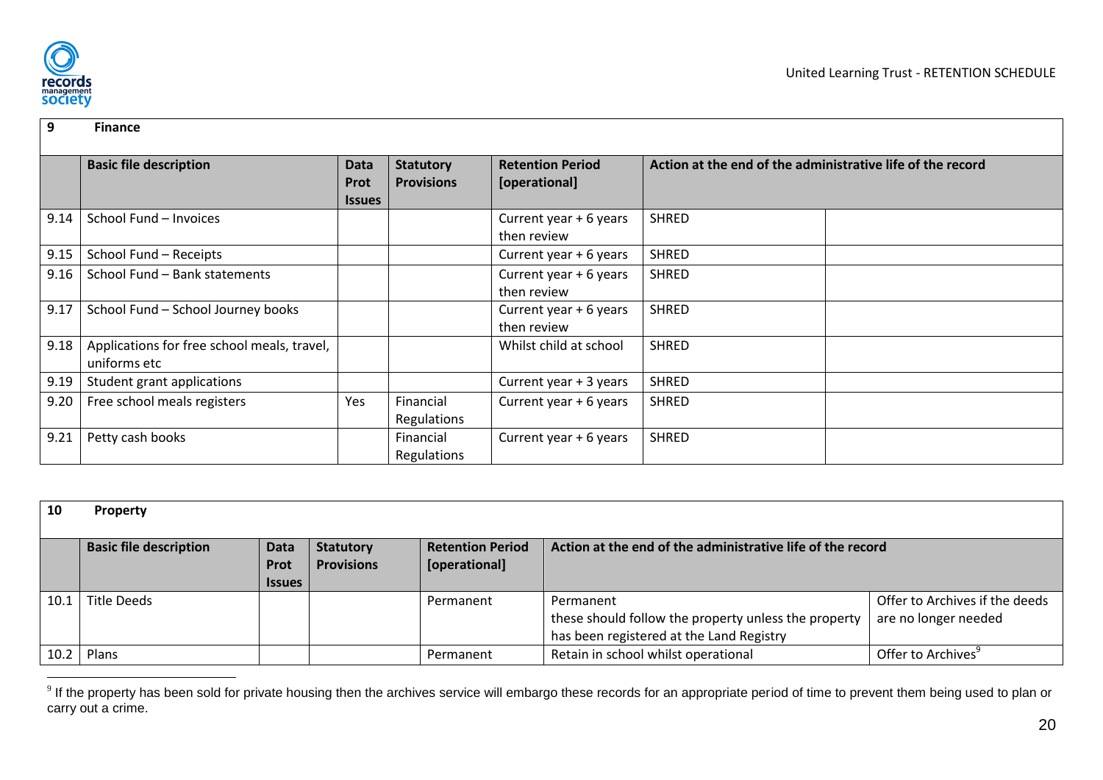

| 9    | <b>Finance</b>                                              |                                             |                                       |                                          |                                                            |
|------|-------------------------------------------------------------|---------------------------------------------|---------------------------------------|------------------------------------------|------------------------------------------------------------|
|      | <b>Basic file description</b>                               | <b>Data</b><br><b>Prot</b><br><b>Issues</b> | <b>Statutory</b><br><b>Provisions</b> | <b>Retention Period</b><br>[operational] | Action at the end of the administrative life of the record |
| 9.14 | School Fund - Invoices                                      |                                             |                                       | Current year + 6 years<br>then review    | <b>SHRED</b>                                               |
| 9.15 | School Fund - Receipts                                      |                                             |                                       | Current year + 6 years                   | <b>SHRED</b>                                               |
| 9.16 | School Fund - Bank statements                               |                                             |                                       | Current year + 6 years<br>then review    | <b>SHRED</b>                                               |
| 9.17 | School Fund - School Journey books                          |                                             |                                       | Current year + 6 years<br>then review    | <b>SHRED</b>                                               |
| 9.18 | Applications for free school meals, travel,<br>uniforms etc |                                             |                                       | Whilst child at school                   | <b>SHRED</b>                                               |
| 9.19 | Student grant applications                                  |                                             |                                       | Current year + 3 years                   | <b>SHRED</b>                                               |
| 9.20 | Free school meals registers                                 | Yes                                         | Financial<br>Regulations              | Current year + 6 years                   | <b>SHRED</b>                                               |
| 9.21 | Petty cash books                                            |                                             | Financial<br>Regulations              | Current year + 6 years                   | <b>SHRED</b>                                               |

<span id="page-20-1"></span><span id="page-20-0"></span>

| 10   | <b>Property</b>               |                                             |                                       |                                          |                                                                                                               |                                                        |
|------|-------------------------------|---------------------------------------------|---------------------------------------|------------------------------------------|---------------------------------------------------------------------------------------------------------------|--------------------------------------------------------|
|      | <b>Basic file description</b> | <b>Data</b><br><b>Prot</b><br><b>Issues</b> | <b>Statutory</b><br><b>Provisions</b> | <b>Retention Period</b><br>[operational] | Action at the end of the administrative life of the record                                                    |                                                        |
| 10.1 | Title Deeds                   |                                             |                                       | Permanent                                | Permanent<br>these should follow the property unless the property<br>has been registered at the Land Registry | Offer to Archives if the deeds<br>are no longer needed |
|      | $10.2$ Plans                  |                                             |                                       | Permanent                                | Retain in school whilst operational                                                                           | Offer to Archives                                      |

<span id="page-20-10"></span><span id="page-20-9"></span><span id="page-20-8"></span><span id="page-20-7"></span><span id="page-20-6"></span><span id="page-20-5"></span><span id="page-20-4"></span><span id="page-20-3"></span><span id="page-20-2"></span>end on the property has been sold for private housing then the archives service will embargo these records for an appropriate period of time to prevent them being used to plan or all the property has been sold for private carry out a crime.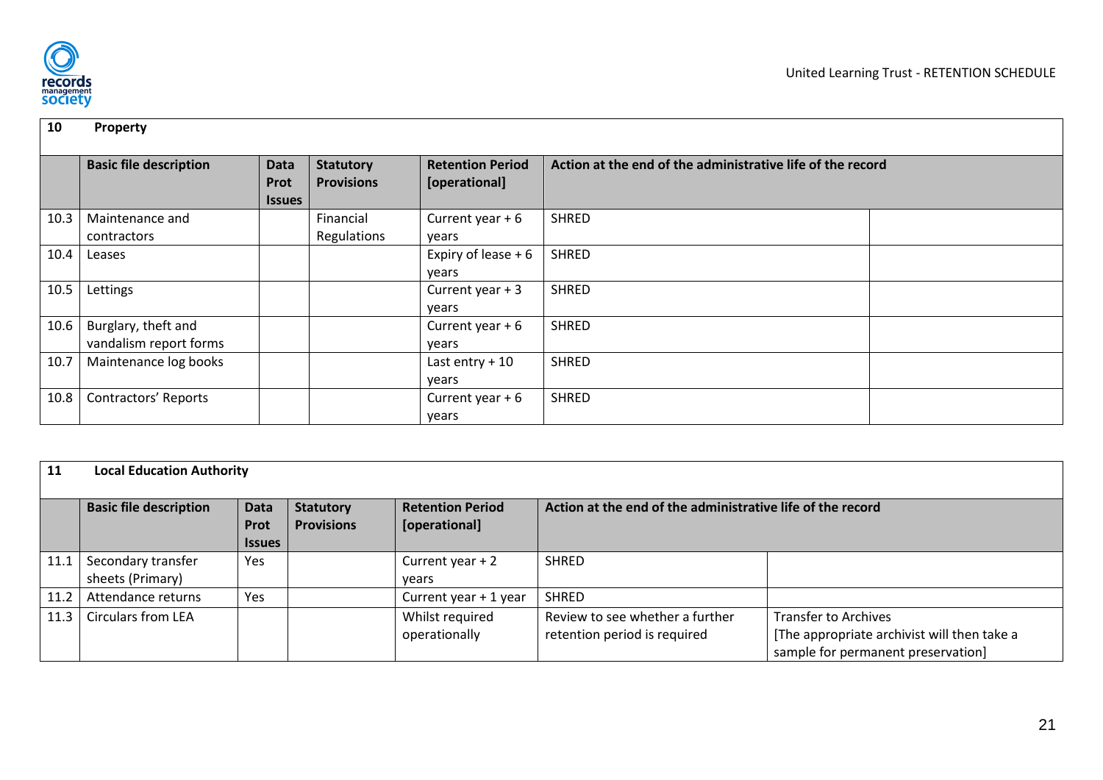

| 10   | Property                                      |                                      |                                       |                                          |                                                            |  |
|------|-----------------------------------------------|--------------------------------------|---------------------------------------|------------------------------------------|------------------------------------------------------------|--|
|      | <b>Basic file description</b>                 | <b>Data</b><br>Prot<br><b>Issues</b> | <b>Statutory</b><br><b>Provisions</b> | <b>Retention Period</b><br>[operational] | Action at the end of the administrative life of the record |  |
| 10.3 | Maintenance and<br>contractors                |                                      | Financial<br>Regulations              | Current year $+6$<br>years               | <b>SHRED</b>                                               |  |
| 10.4 | Leases                                        |                                      |                                       | Expiry of lease $+6$<br>years            | <b>SHRED</b>                                               |  |
| 10.5 | Lettings                                      |                                      |                                       | Current year $+3$<br>years               | <b>SHRED</b>                                               |  |
| 10.6 | Burglary, theft and<br>vandalism report forms |                                      |                                       | Current year $+6$<br>years               | <b>SHRED</b>                                               |  |
| 10.7 | Maintenance log books                         |                                      |                                       | Last entry $+10$<br>years                | <b>SHRED</b>                                               |  |
| 10.8 | Contractors' Reports                          |                                      |                                       | Current year $+6$<br>years               | <b>SHRED</b>                                               |  |

<span id="page-21-9"></span><span id="page-21-8"></span><span id="page-21-7"></span><span id="page-21-6"></span><span id="page-21-5"></span><span id="page-21-4"></span><span id="page-21-3"></span><span id="page-21-2"></span><span id="page-21-1"></span><span id="page-21-0"></span>

| 11   | <b>Local Education Authority</b>                                                                                                                                                                                                |     |  |                                  |                                                                 |                                                                                                                  |  |  |  |
|------|---------------------------------------------------------------------------------------------------------------------------------------------------------------------------------------------------------------------------------|-----|--|----------------------------------|-----------------------------------------------------------------|------------------------------------------------------------------------------------------------------------------|--|--|--|
|      | <b>Retention Period</b><br>Action at the end of the administrative life of the record<br><b>Basic file description</b><br><b>Statutory</b><br><b>Data</b><br><b>Provisions</b><br>[operational]<br><b>Prot</b><br><b>Issues</b> |     |  |                                  |                                                                 |                                                                                                                  |  |  |  |
| 11.1 | Secondary transfer<br>sheets (Primary)                                                                                                                                                                                          | Yes |  | Current year $+2$<br>vears       | <b>SHRED</b>                                                    |                                                                                                                  |  |  |  |
| 11.2 | Attendance returns                                                                                                                                                                                                              | Yes |  | Current year + 1 year            | <b>SHRED</b>                                                    |                                                                                                                  |  |  |  |
| 11.3 | <b>Circulars from LEA</b>                                                                                                                                                                                                       |     |  | Whilst required<br>operationally | Review to see whether a further<br>retention period is required | <b>Transfer to Archives</b><br>[The appropriate archivist will then take a<br>sample for permanent preservation] |  |  |  |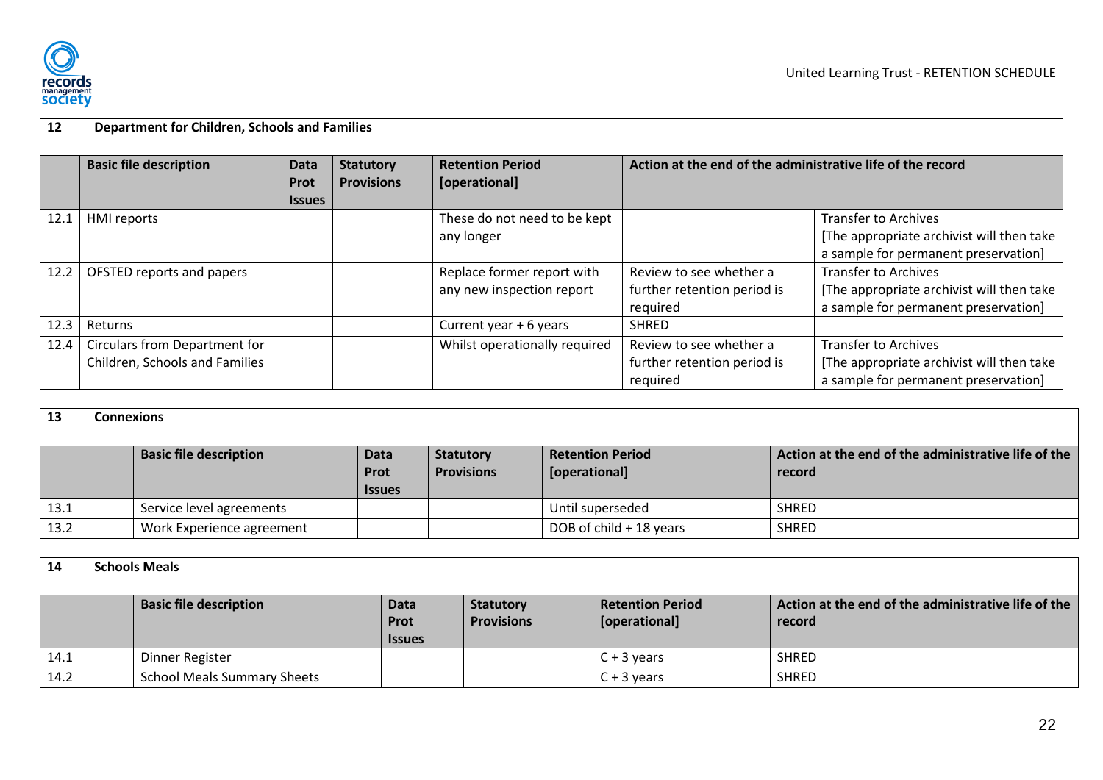

| 12   | <b>Department for Children, Schools and Families</b> |                                      |                                       |                                          |                                                            |                                           |  |  |  |
|------|------------------------------------------------------|--------------------------------------|---------------------------------------|------------------------------------------|------------------------------------------------------------|-------------------------------------------|--|--|--|
|      | <b>Basic file description</b>                        | Data<br><b>Prot</b><br><b>Issues</b> | <b>Statutory</b><br><b>Provisions</b> | <b>Retention Period</b><br>[operational] | Action at the end of the administrative life of the record |                                           |  |  |  |
| 12.1 | <b>HMI</b> reports                                   |                                      |                                       | These do not need to be kept             |                                                            | <b>Transfer to Archives</b>               |  |  |  |
|      |                                                      |                                      |                                       | any longer                               |                                                            | [The appropriate archivist will then take |  |  |  |
|      |                                                      |                                      |                                       |                                          |                                                            | a sample for permanent preservation]      |  |  |  |
| 12.2 | OFSTED reports and papers                            |                                      |                                       | Replace former report with               | Review to see whether a                                    | <b>Transfer to Archives</b>               |  |  |  |
|      |                                                      |                                      |                                       | any new inspection report                | further retention period is                                | [The appropriate archivist will then take |  |  |  |
|      |                                                      |                                      |                                       |                                          | required                                                   | a sample for permanent preservation]      |  |  |  |
| 12.3 | Returns                                              |                                      |                                       | Current year + 6 years                   | <b>SHRED</b>                                               |                                           |  |  |  |
| 12.4 | <b>Circulars from Department for</b>                 |                                      |                                       | Whilst operationally required            | Review to see whether a                                    | <b>Transfer to Archives</b>               |  |  |  |
|      | Children, Schools and Families                       |                                      |                                       |                                          | further retention period is                                | [The appropriate archivist will then take |  |  |  |
|      |                                                      |                                      |                                       |                                          | required                                                   | a sample for permanent preservation]      |  |  |  |

<span id="page-22-0"></span>

| 13   | <b>Connexions</b>             |                                             |                                       |                                          |                                                               |  |  |  |  |  |
|------|-------------------------------|---------------------------------------------|---------------------------------------|------------------------------------------|---------------------------------------------------------------|--|--|--|--|--|
|      | <b>Basic file description</b> | <b>Data</b><br><b>Prot</b><br><b>Issues</b> | <b>Statutory</b><br><b>Provisions</b> | <b>Retention Period</b><br>[operational] | Action at the end of the administrative life of the<br>record |  |  |  |  |  |
| 13.1 | Service level agreements      |                                             |                                       | Until superseded                         | <b>SHRED</b>                                                  |  |  |  |  |  |
| 13.2 | Work Experience agreement     |                                             |                                       | DOB of child + 18 years                  | <b>SHRED</b>                                                  |  |  |  |  |  |

<span id="page-22-10"></span><span id="page-22-9"></span><span id="page-22-8"></span><span id="page-22-7"></span><span id="page-22-6"></span><span id="page-22-5"></span><span id="page-22-4"></span><span id="page-22-3"></span><span id="page-22-2"></span><span id="page-22-1"></span>

| 14   | <b>Schools Meals</b> |                                    |                                             |                                       |                                          |                                                               |  |  |  |  |
|------|----------------------|------------------------------------|---------------------------------------------|---------------------------------------|------------------------------------------|---------------------------------------------------------------|--|--|--|--|
|      |                      | <b>Basic file description</b>      | <b>Data</b><br><b>Prot</b><br><b>Issues</b> | <b>Statutory</b><br><b>Provisions</b> | <b>Retention Period</b><br>[operational] | Action at the end of the administrative life of the<br>record |  |  |  |  |
| 14.1 |                      | Dinner Register                    |                                             |                                       | $C + 3$ vears                            | <b>SHRED</b>                                                  |  |  |  |  |
| 14.2 |                      | <b>School Meals Summary Sheets</b> |                                             |                                       | $C + 3$ years                            | <b>SHRED</b>                                                  |  |  |  |  |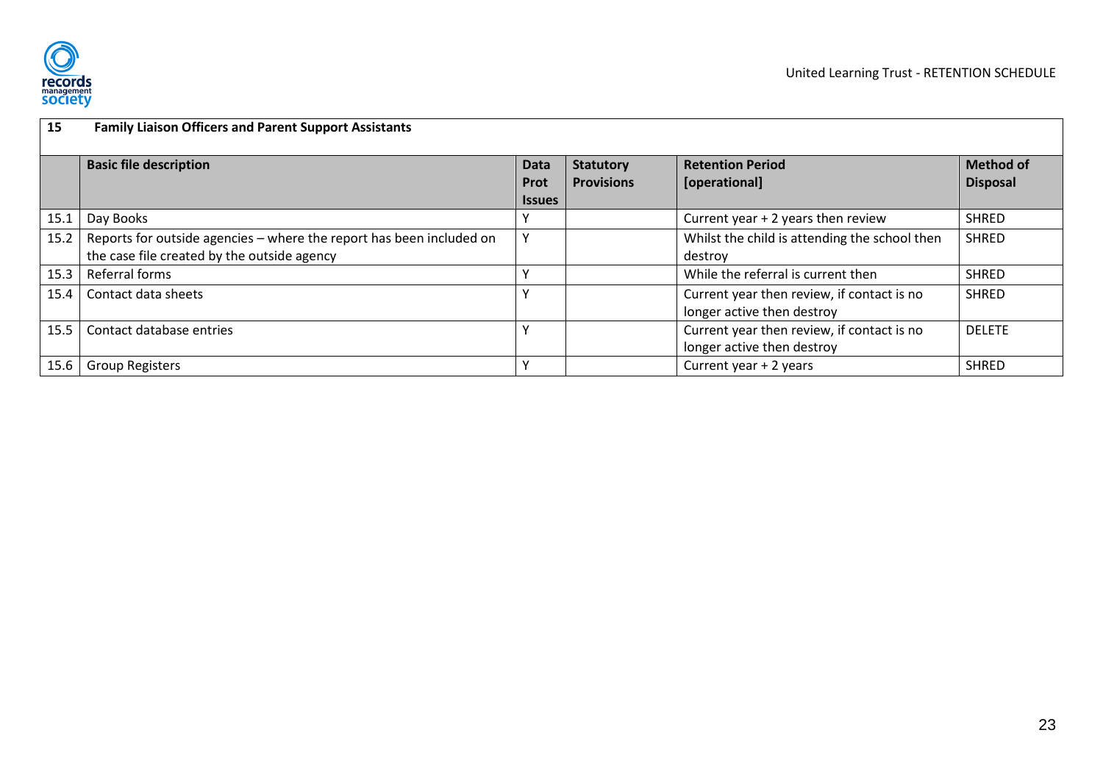

<span id="page-23-6"></span><span id="page-23-5"></span><span id="page-23-4"></span><span id="page-23-3"></span><span id="page-23-2"></span><span id="page-23-1"></span><span id="page-23-0"></span>

| 15   | <b>Family Liaison Officers and Parent Support Assistants</b>                                                        |                                             |                                       |                                                                          |                                     |  |  |  |
|------|---------------------------------------------------------------------------------------------------------------------|---------------------------------------------|---------------------------------------|--------------------------------------------------------------------------|-------------------------------------|--|--|--|
|      | <b>Basic file description</b>                                                                                       | <b>Data</b><br><b>Prot</b><br><b>Issues</b> | <b>Statutory</b><br><b>Provisions</b> | <b>Retention Period</b><br>[operational]                                 | <b>Method of</b><br><b>Disposal</b> |  |  |  |
| 15.1 | Day Books                                                                                                           |                                             |                                       | Current year $+2$ years then review                                      | <b>SHRED</b>                        |  |  |  |
| 15.2 | Reports for outside agencies - where the report has been included on<br>the case file created by the outside agency | Υ                                           |                                       | Whilst the child is attending the school then<br>destroy                 | <b>SHRED</b>                        |  |  |  |
| 15.3 | Referral forms                                                                                                      |                                             |                                       | While the referral is current then                                       | <b>SHRED</b>                        |  |  |  |
| 15.4 | Contact data sheets                                                                                                 |                                             |                                       | Current year then review, if contact is no<br>longer active then destroy | <b>SHRED</b>                        |  |  |  |
| 15.5 | Contact database entries                                                                                            |                                             |                                       | Current year then review, if contact is no<br>longer active then destroy | <b>DELETE</b>                       |  |  |  |
| 15.6 | <b>Group Registers</b>                                                                                              |                                             |                                       | Current year + 2 years                                                   | <b>SHRED</b>                        |  |  |  |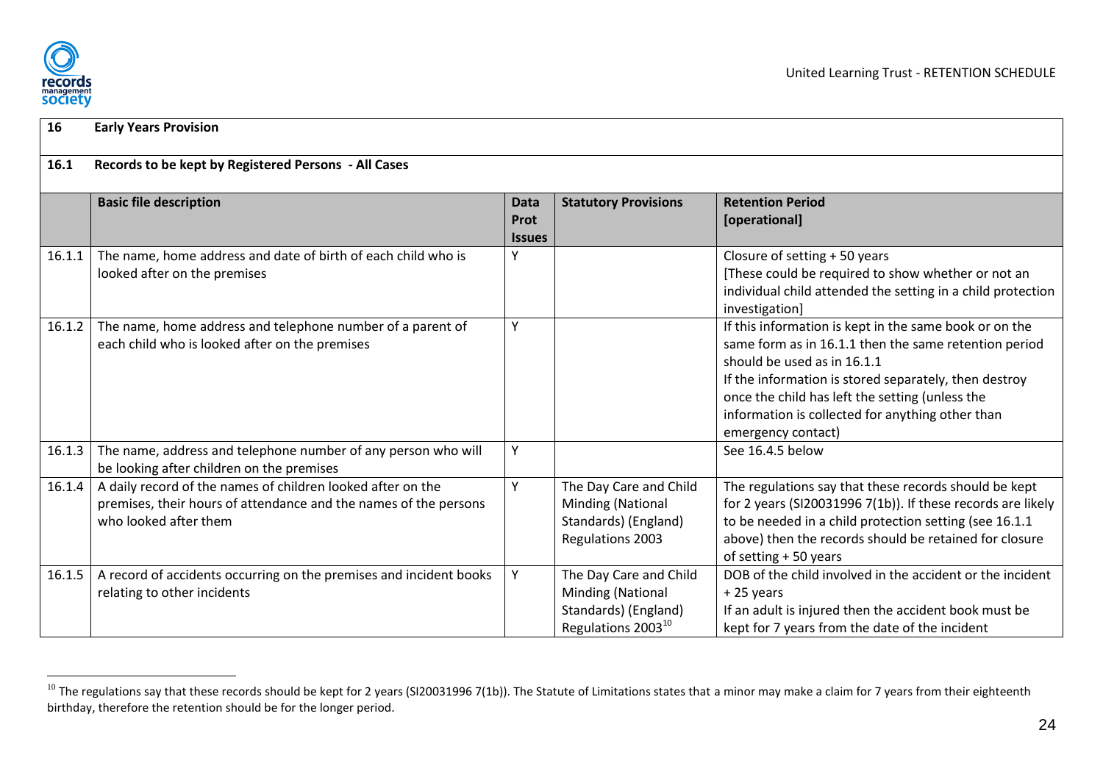

<span id="page-24-3"></span><span id="page-24-2"></span><span id="page-24-1"></span><span id="page-24-0"></span> $\overline{a}$ 

| 16     | <b>Early Years Provision</b>                                                                                                                             |                                             |                                                                                                       |                                                                                                                                                                                                                                                                                                                                      |  |  |  |  |
|--------|----------------------------------------------------------------------------------------------------------------------------------------------------------|---------------------------------------------|-------------------------------------------------------------------------------------------------------|--------------------------------------------------------------------------------------------------------------------------------------------------------------------------------------------------------------------------------------------------------------------------------------------------------------------------------------|--|--|--|--|
| 16.1   | Records to be kept by Registered Persons - All Cases                                                                                                     |                                             |                                                                                                       |                                                                                                                                                                                                                                                                                                                                      |  |  |  |  |
|        | <b>Basic file description</b>                                                                                                                            | <b>Data</b><br><b>Prot</b><br><b>Issues</b> | <b>Statutory Provisions</b>                                                                           | <b>Retention Period</b><br>[operational]                                                                                                                                                                                                                                                                                             |  |  |  |  |
| 16.1.1 | The name, home address and date of birth of each child who is<br>looked after on the premises                                                            | Y                                           |                                                                                                       | Closure of setting + 50 years<br>[These could be required to show whether or not an<br>individual child attended the setting in a child protection<br>investigation]                                                                                                                                                                 |  |  |  |  |
| 16.1.2 | The name, home address and telephone number of a parent of<br>each child who is looked after on the premises                                             | γ                                           |                                                                                                       | If this information is kept in the same book or on the<br>same form as in 16.1.1 then the same retention period<br>should be used as in 16.1.1<br>If the information is stored separately, then destroy<br>once the child has left the setting (unless the<br>information is collected for anything other than<br>emergency contact) |  |  |  |  |
| 16.1.3 | The name, address and telephone number of any person who will<br>be looking after children on the premises                                               | Y                                           |                                                                                                       | See 16.4.5 below                                                                                                                                                                                                                                                                                                                     |  |  |  |  |
| 16.1.4 | A daily record of the names of children looked after on the<br>premises, their hours of attendance and the names of the persons<br>who looked after them | γ                                           | The Day Care and Child<br>Minding (National<br>Standards) (England)<br><b>Regulations 2003</b>        | The regulations say that these records should be kept<br>for 2 years (SI20031996 7(1b)). If these records are likely<br>to be needed in a child protection setting (see 16.1.1<br>above) then the records should be retained for closure<br>of setting + 50 years                                                                    |  |  |  |  |
| 16.1.5 | A record of accidents occurring on the premises and incident books<br>relating to other incidents                                                        | Y                                           | The Day Care and Child<br>Minding (National<br>Standards) (England)<br>Regulations 2003 <sup>10</sup> | DOB of the child involved in the accident or the incident<br>+25 years<br>If an adult is injured then the accident book must be<br>kept for 7 years from the date of the incident                                                                                                                                                    |  |  |  |  |

<span id="page-24-6"></span><span id="page-24-5"></span><span id="page-24-4"></span> $^{10}$  The regulations say that these records should be kept for 2 years (SI20031996 7(1b)). The Statute of Limitations states that a minor may make a claim for 7 years from their eighteenth birthday, therefore the retention should be for the longer period.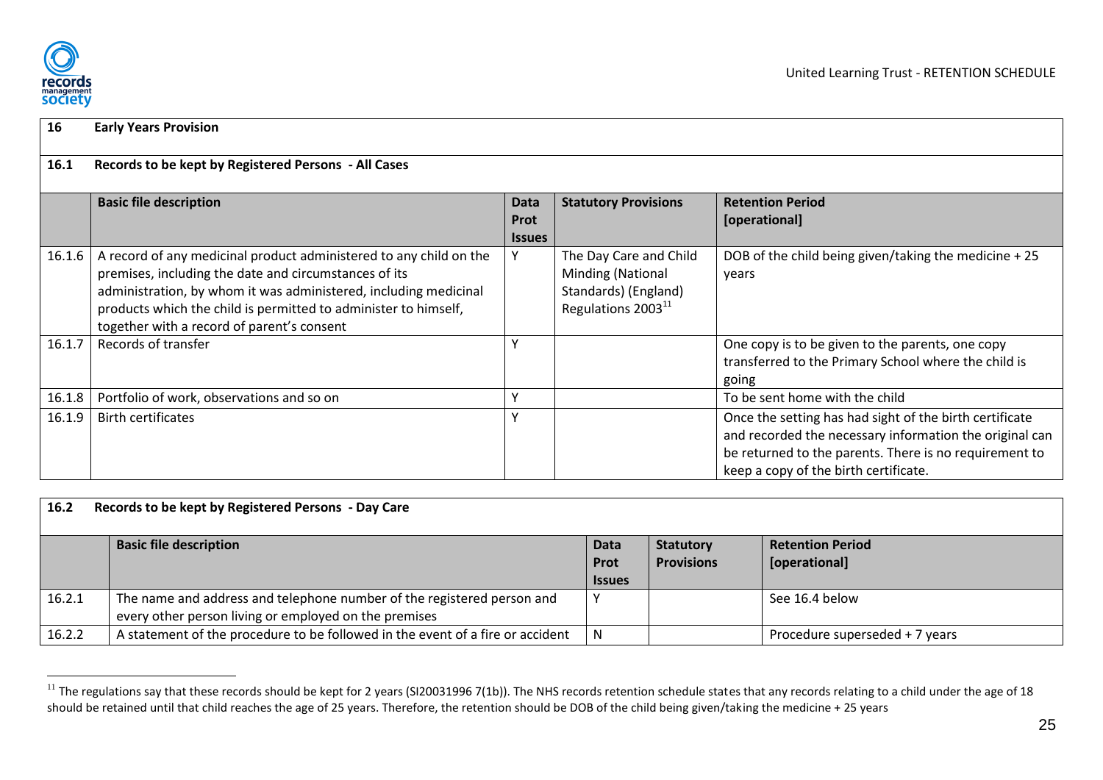

<span id="page-25-1"></span> $\overline{a}$ 

| 16     | <b>Early Years Provision</b>                                                                                                                                                                                                                                                                                     |                                      |                                                                                                       |                                                                                                                                                                                                                       |  |  |  |
|--------|------------------------------------------------------------------------------------------------------------------------------------------------------------------------------------------------------------------------------------------------------------------------------------------------------------------|--------------------------------------|-------------------------------------------------------------------------------------------------------|-----------------------------------------------------------------------------------------------------------------------------------------------------------------------------------------------------------------------|--|--|--|
| 16.1   | Records to be kept by Registered Persons - All Cases                                                                                                                                                                                                                                                             |                                      |                                                                                                       |                                                                                                                                                                                                                       |  |  |  |
|        | <b>Basic file description</b>                                                                                                                                                                                                                                                                                    | Data<br><b>Prot</b><br><b>Issues</b> | <b>Statutory Provisions</b>                                                                           | <b>Retention Period</b><br>[operational]                                                                                                                                                                              |  |  |  |
| 16.1.6 | A record of any medicinal product administered to any child on the<br>premises, including the date and circumstances of its<br>administration, by whom it was administered, including medicinal<br>products which the child is permitted to administer to himself,<br>together with a record of parent's consent |                                      | The Day Care and Child<br>Minding (National<br>Standards) (England)<br>Regulations 2003 <sup>11</sup> | DOB of the child being given/taking the medicine + 25<br>years                                                                                                                                                        |  |  |  |
| 16.1.7 | Records of transfer                                                                                                                                                                                                                                                                                              | $\checkmark$                         |                                                                                                       | One copy is to be given to the parents, one copy<br>transferred to the Primary School where the child is<br>going                                                                                                     |  |  |  |
| 16.1.8 | Portfolio of work, observations and so on                                                                                                                                                                                                                                                                        | v                                    |                                                                                                       | To be sent home with the child                                                                                                                                                                                        |  |  |  |
| 16.1.9 | <b>Birth certificates</b>                                                                                                                                                                                                                                                                                        | v                                    |                                                                                                       | Once the setting has had sight of the birth certificate<br>and recorded the necessary information the original can<br>be returned to the parents. There is no requirement to<br>keep a copy of the birth certificate. |  |  |  |

<span id="page-25-0"></span>

| 16.2   | Records to be kept by Registered Persons - Day Care                            |               |                   |                                |  |  |  |  |
|--------|--------------------------------------------------------------------------------|---------------|-------------------|--------------------------------|--|--|--|--|
|        | <b>Basic file description</b>                                                  | <b>Data</b>   | <b>Statutory</b>  | <b>Retention Period</b>        |  |  |  |  |
|        |                                                                                | <b>Prot</b>   | <b>Provisions</b> | [operational]                  |  |  |  |  |
|        |                                                                                | <b>Issues</b> |                   |                                |  |  |  |  |
| 16.2.1 | The name and address and telephone number of the registered person and         |               |                   | See 16.4 below                 |  |  |  |  |
|        | every other person living or employed on the premises                          |               |                   |                                |  |  |  |  |
| 16.2.2 | A statement of the procedure to be followed in the event of a fire or accident |               |                   | Procedure superseded + 7 years |  |  |  |  |

<span id="page-25-6"></span><span id="page-25-5"></span><span id="page-25-4"></span><span id="page-25-3"></span><span id="page-25-2"></span> $^{11}$  The regulations say that these records should be kept for 2 years (SI20031996 7(1b)). The NHS records retention schedule states that any records relating to a child under the age of 18 should be retained until that child reaches the age of 25 years. Therefore, the retention should be DOB of the child being given/taking the medicine + 25 years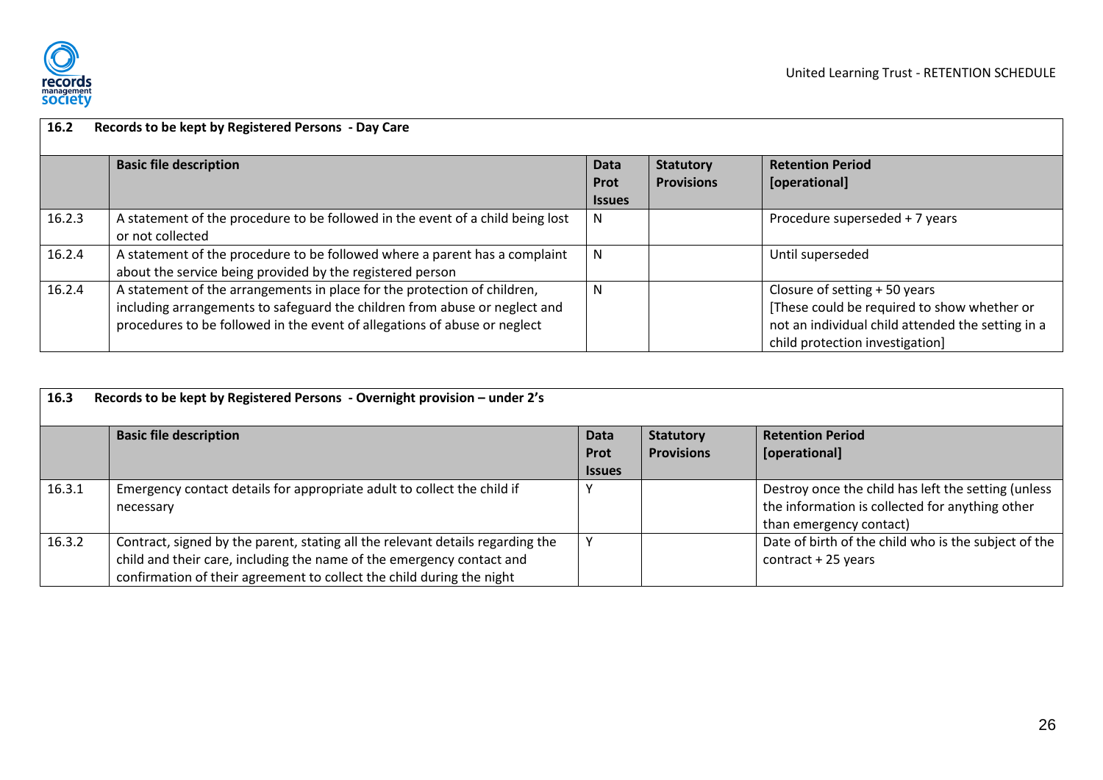

| 16.2   | Records to be kept by Registered Persons - Day Care                            |               |                   |                                                   |  |  |
|--------|--------------------------------------------------------------------------------|---------------|-------------------|---------------------------------------------------|--|--|
|        | <b>Basic file description</b>                                                  | <b>Data</b>   | <b>Statutory</b>  | <b>Retention Period</b>                           |  |  |
|        |                                                                                | <b>Prot</b>   | <b>Provisions</b> | [operational]                                     |  |  |
|        |                                                                                | <b>Issues</b> |                   |                                                   |  |  |
| 16.2.3 | A statement of the procedure to be followed in the event of a child being lost | N.            |                   | Procedure superseded + 7 years                    |  |  |
|        | or not collected                                                               |               |                   |                                                   |  |  |
| 16.2.4 | A statement of the procedure to be followed where a parent has a complaint     | N.            |                   | Until superseded                                  |  |  |
|        | about the service being provided by the registered person                      |               |                   |                                                   |  |  |
| 16.2.4 | A statement of the arrangements in place for the protection of children,       | N             |                   | Closure of setting + 50 years                     |  |  |
|        | including arrangements to safeguard the children from abuse or neglect and     |               |                   | [These could be required to show whether or       |  |  |
|        | procedures to be followed in the event of allegations of abuse or neglect      |               |                   | not an individual child attended the setting in a |  |  |
|        |                                                                                |               |                   | child protection investigation]                   |  |  |

<span id="page-26-5"></span><span id="page-26-4"></span><span id="page-26-3"></span><span id="page-26-2"></span><span id="page-26-1"></span><span id="page-26-0"></span>

| 16.3   | Records to be kept by Registered Persons - Overnight provision - under 2's     |               |                   |                                                      |  |  |  |  |
|--------|--------------------------------------------------------------------------------|---------------|-------------------|------------------------------------------------------|--|--|--|--|
|        | <b>Basic file description</b>                                                  | Data          | <b>Statutory</b>  | <b>Retention Period</b>                              |  |  |  |  |
|        |                                                                                | Prot          | <b>Provisions</b> | [operational]                                        |  |  |  |  |
|        |                                                                                | <b>Issues</b> |                   |                                                      |  |  |  |  |
| 16.3.1 | Emergency contact details for appropriate adult to collect the child if        |               |                   | Destroy once the child has left the setting (unless  |  |  |  |  |
|        | necessary                                                                      |               |                   | the information is collected for anything other      |  |  |  |  |
|        |                                                                                |               |                   | than emergency contact)                              |  |  |  |  |
| 16.3.2 | Contract, signed by the parent, stating all the relevant details regarding the |               |                   | Date of birth of the child who is the subject of the |  |  |  |  |
|        | child and their care, including the name of the emergency contact and          |               |                   | $contract + 25 years$                                |  |  |  |  |
|        | confirmation of their agreement to collect the child during the night          |               |                   |                                                      |  |  |  |  |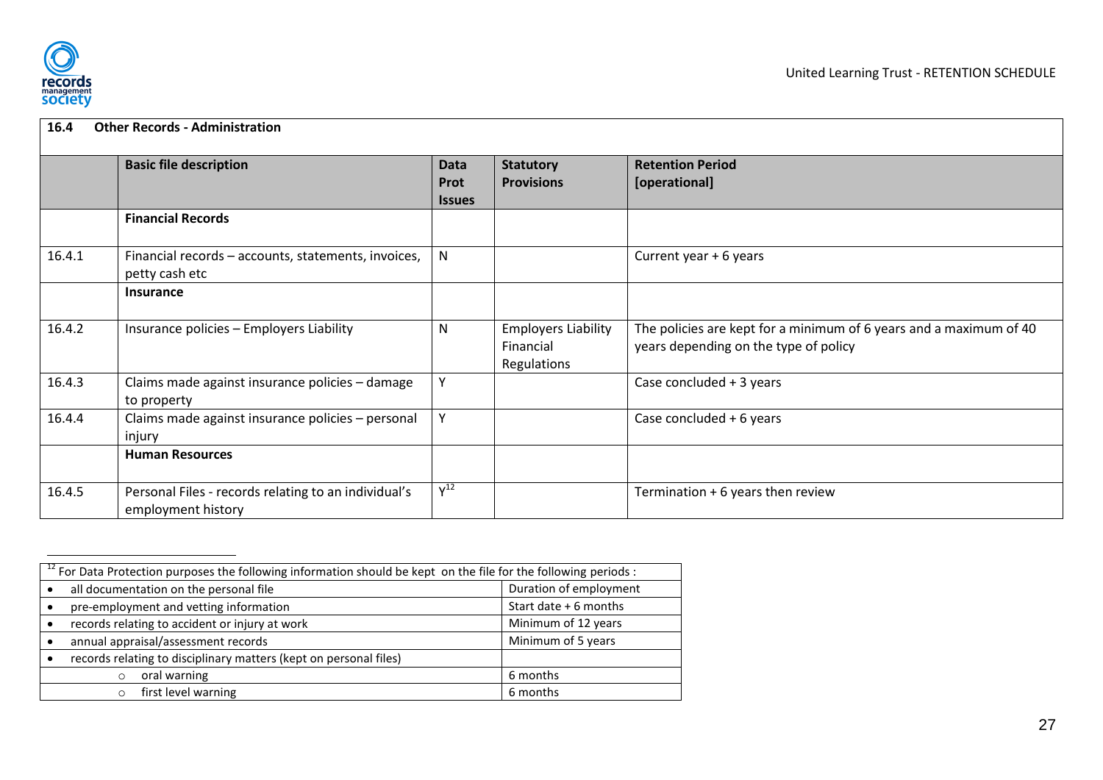

| 16.4   | <b>Other Records - Administration</b>                                      |                                      |                                                        |                                                                                                             |
|--------|----------------------------------------------------------------------------|--------------------------------------|--------------------------------------------------------|-------------------------------------------------------------------------------------------------------------|
|        | <b>Basic file description</b>                                              | <b>Data</b><br>Prot<br><b>Issues</b> | <b>Statutory</b><br><b>Provisions</b>                  | <b>Retention Period</b><br>[operational]                                                                    |
|        | <b>Financial Records</b>                                                   |                                      |                                                        |                                                                                                             |
| 16.4.1 | Financial records - accounts, statements, invoices,<br>petty cash etc      | $\mathsf{N}$                         |                                                        | Current year + 6 years                                                                                      |
|        | <b>Insurance</b>                                                           |                                      |                                                        |                                                                                                             |
| 16.4.2 | Insurance policies - Employers Liability                                   | N                                    | <b>Employers Liability</b><br>Financial<br>Regulations | The policies are kept for a minimum of 6 years and a maximum of 40<br>years depending on the type of policy |
| 16.4.3 | Claims made against insurance policies - damage<br>to property             | Y                                    |                                                        | Case concluded $+3$ years                                                                                   |
| 16.4.4 | Claims made against insurance policies - personal<br>injury                | Y                                    |                                                        | Case concluded + 6 years                                                                                    |
|        | <b>Human Resources</b>                                                     |                                      |                                                        |                                                                                                             |
| 16.4.5 | Personal Files - records relating to an individual's<br>employment history | $Y^{12}$                             |                                                        | Termination + 6 years then review                                                                           |

<span id="page-27-5"></span><span id="page-27-4"></span><span id="page-27-3"></span><span id="page-27-2"></span><span id="page-27-1"></span><span id="page-27-0"></span>

| $\frac{12}{12}$ For Data Protection purposes the following information should be kept on the file for the following periods : |                     |  |  |  |  |
|-------------------------------------------------------------------------------------------------------------------------------|---------------------|--|--|--|--|
| Duration of employment<br>all documentation on the personal file                                                              |                     |  |  |  |  |
| Start date + 6 months<br>pre-employment and vetting information                                                               |                     |  |  |  |  |
| records relating to accident or injury at work                                                                                | Minimum of 12 years |  |  |  |  |
| annual appraisal/assessment records                                                                                           | Minimum of 5 years  |  |  |  |  |
| records relating to disciplinary matters (kept on personal files)                                                             |                     |  |  |  |  |
| oral warning<br>$\circ$                                                                                                       | 6 months            |  |  |  |  |
| first level warning<br>$\Omega$                                                                                               | 6 months            |  |  |  |  |